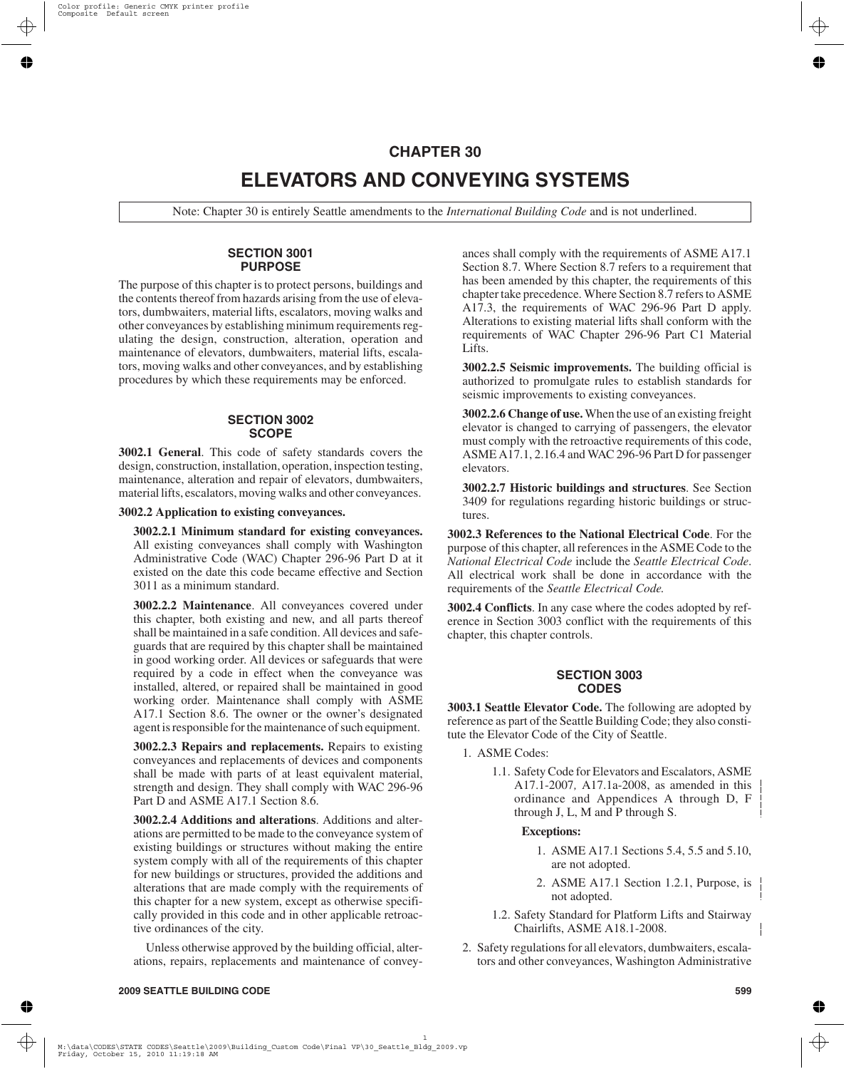# **CHAPTER 30 ELEVATORS AND CONVEYING SYSTEMS**

Note: Chapter 30 is entirely Seattle amendments to the *International Building Code* and is not underlined.

#### **SECTION 3001 PURPOSE**

The purpose of this chapter is to protect persons, buildings and the contents thereof from hazards arising from the use of elevators, dumbwaiters, material lifts, escalators, moving walks and other conveyances by establishing minimum requirements regulating the design, construction, alteration, operation and maintenance of elevators, dumbwaiters, material lifts, escalators, moving walks and other conveyances, and by establishing procedures by which these requirements may be enforced.

#### **SECTION 3002 SCOPE**

**3002.1 General**. This code of safety standards covers the design, construction, installation, operation, inspection testing, maintenance, alteration and repair of elevators, dumbwaiters, material lifts, escalators, moving walks and other conveyances.

**3002.2 Application to existing conveyances.**

**3002.2.1 Minimum standard for existing conveyances.** All existing conveyances shall comply with Washington Administrative Code (WAC) Chapter 296-96 Part D at it existed on the date this code became effective and Section 3011 as a minimum standard.

**3002.2.2 Maintenance**. All conveyances covered under this chapter, both existing and new, and all parts thereof shall be maintained in a safe condition. All devices and safeguards that are required by this chapter shall be maintained in good working order. All devices or safeguards that were required by a code in effect when the conveyance was installed, altered, or repaired shall be maintained in good working order. Maintenance shall comply with ASME A17.1 Section 8.6. The owner or the owner's designated agent is responsible for the maintenance of such equipment.

**3002.2.3 Repairs and replacements.** Repairs to existing conveyances and replacements of devices and components shall be made with parts of at least equivalent material, strength and design. They shall comply with WAC 296-96 Part D and ASME A17.1 Section 8.6.

**3002.2.4 Additions and alterations**. Additions and alterations are permitted to be made to the conveyance system of existing buildings or structures without making the entire system comply with all of the requirements of this chapter for new buildings or structures, provided the additions and alterations that are made comply with the requirements of this chapter for a new system, except as otherwise specifically provided in this code and in other applicable retroactive ordinances of the city.

Unless otherwise approved by the building official, alterations, repairs, replacements and maintenance of conveyances shall comply with the requirements of ASME A17.1 Section 8.7. Where Section 8.7 refers to a requirement that has been amended by this chapter, the requirements of this chapter take precedence. Where Section 8.7 refers to ASME A17.3, the requirements of WAC 296-96 Part D apply. Alterations to existing material lifts shall conform with the requirements of WAC Chapter 296-96 Part C1 Material Lifts.

**3002.2.5 Seismic improvements.** The building official is authorized to promulgate rules to establish standards for seismic improvements to existing conveyances.

**3002.2.6 Change of use.**When the use of an existing freight elevator is changed to carrying of passengers, the elevator must comply with the retroactive requirements of this code, ASME A17.1, 2.16.4 and WAC 296-96 Part D for passenger elevators.

**3002.2.7 Historic buildings and structures**. See Section 3409 for regulations regarding historic buildings or structures.

**3002.3 References to the National Electrical Code**. For the purpose of this chapter, all references in the ASME Code to the *National Electrical Code* include the *Seattle Electrical Code*. All electrical work shall be done in accordance with the requirements of the *Seattle Electrical Code.*

**3002.4 Conflicts**. In any case where the codes adopted by reference in Section 3003 conflict with the requirements of this chapter, this chapter controls.

# **SECTION 3003 CODES**

**3003.1 Seattle Elevator Code.** The following are adopted by reference as part of the Seattle Building Code; they also constitute the Elevator Code of the City of Seattle.

- 1. ASME Codes:
	- 1.1. Safety Code for Elevators and Escalators, ASME A17.1-2007*,* A17.1a-2008, as amended in this ordinance and Appendices A through D, F through J, L, M and P through S.

#### **Exceptions:**

- 1. ASME A17.1 Sections 5.4, 5.5 and 5.10, are not adopted.
- 2. ASME A17.1 Section 1.2.1, Purpose, is not adopted.
- 1.2. Safety Standard for Platform Lifts and Stairway Chairlifts, ASME A18.1-2008.
- 2. Safety regulations for all elevators, dumbwaiters, escalators and other conveyances, Washington Administrative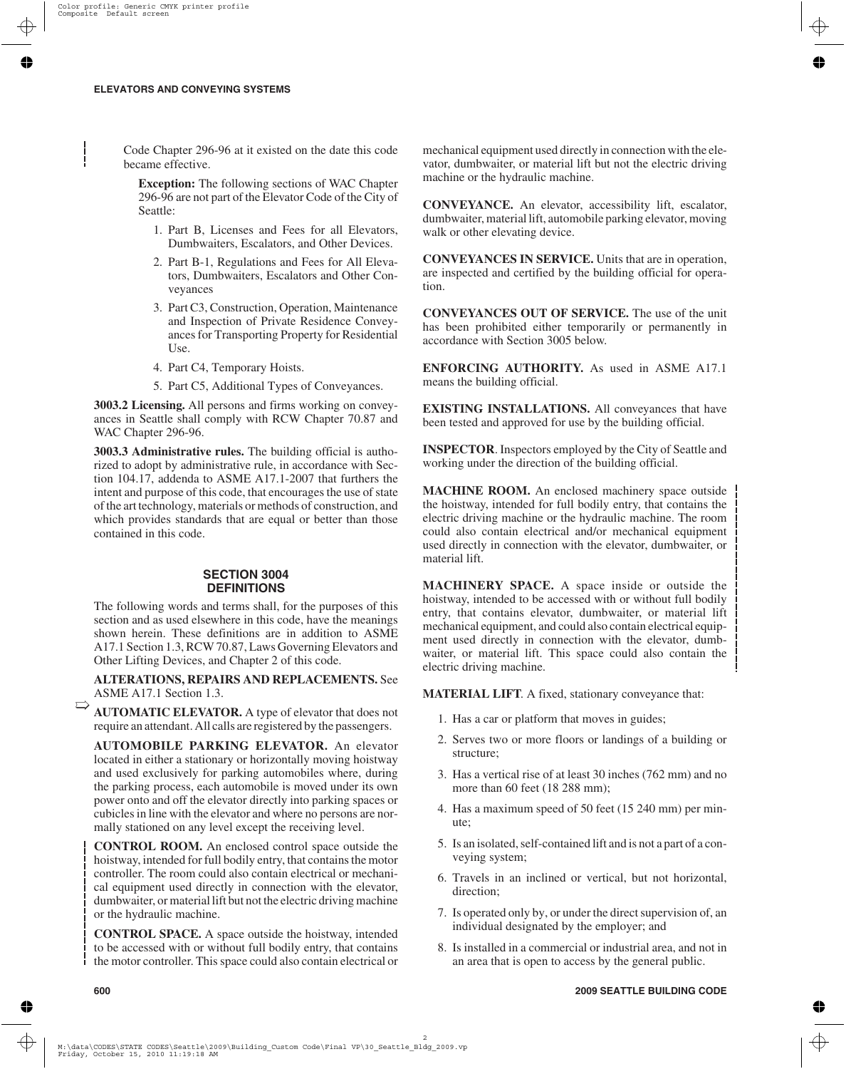Code Chapter 296-96 at it existed on the date this code became effective.

**Exception:** The following sections of WAC Chapter 296-96 are not part of the Elevator Code of the City of Seattle:

- 1. Part B, Licenses and Fees for all Elevators, Dumbwaiters, Escalators, and Other Devices.
- 2. Part B-1, Regulations and Fees for All Elevators, Dumbwaiters, Escalators and Other Conveyances
- 3. Part C3, Construction, Operation, Maintenance and Inspection of Private Residence Conveyances for Transporting Property for Residential Use.
- 4. Part C4, Temporary Hoists.
- 5. Part C5, Additional Types of Conveyances.

**3003.2 Licensing.** All persons and firms working on conveyances in Seattle shall comply with RCW Chapter 70.87 and WAC Chapter 296-96.

**3003.3 Administrative rules.** The building official is authorized to adopt by administrative rule, in accordance with Section 104.17, addenda to ASME A17.1-2007 that furthers the intent and purpose of this code, that encourages the use of state of the art technology, materials or methods of construction, and which provides standards that are equal or better than those contained in this code.

# **SECTION 3004 DEFINITIONS**

The following words and terms shall, for the purposes of this section and as used elsewhere in this code, have the meanings shown herein. These definitions are in addition to ASME A17.1 Section 1.3, RCW 70.87, Laws Governing Elevators and Other Lifting Devices, and Chapter 2 of this code.

**ALTERATIONS, REPAIRS AND REPLACEMENTS.** See ASME A17.1 Section 1.3.

**AUTOMATIC ELEVATOR.** A type of elevator that does not require an attendant. All calls are registered by the passengers.  $\Rightarrow$ 

**AUTOMOBILE PARKING ELEVATOR.** An elevator located in either a stationary or horizontally moving hoistway and used exclusively for parking automobiles where, during the parking process, each automobile is moved under its own power onto and off the elevator directly into parking spaces or cubicles in line with the elevator and where no persons are normally stationed on any level except the receiving level.

**CONTROL ROOM.** An enclosed control space outside the hoistway, intended for full bodily entry, that contains the motor controller. The room could also contain electrical or mechanical equipment used directly in connection with the elevator, dumbwaiter, or material lift but not the electric driving machine or the hydraulic machine.

**CONTROL SPACE.** A space outside the hoistway, intended to be accessed with or without full bodily entry, that contains the motor controller. This space could also contain electrical or mechanical equipment used directly in connection with the elevator, dumbwaiter, or material lift but not the electric driving machine or the hydraulic machine.

**CONVEYANCE.** An elevator, accessibility lift, escalator, dumbwaiter, material lift, automobile parking elevator, moving walk or other elevating device.

**CONVEYANCES IN SERVICE.** Units that are in operation, are inspected and certified by the building official for operation.

**CONVEYANCES OUT OF SERVICE.** The use of the unit has been prohibited either temporarily or permanently in accordance with Section 3005 below.

**ENFORCING AUTHORITY.** As used in ASME A17.1 means the building official.

**EXISTING INSTALLATIONS.** All conveyances that have been tested and approved for use by the building official.

**INSPECTOR**. Inspectors employed by the City of Seattle and working under the direction of the building official.

**MACHINE ROOM.** An enclosed machinery space outside the hoistway, intended for full bodily entry, that contains the electric driving machine or the hydraulic machine. The room could also contain electrical and/or mechanical equipment used directly in connection with the elevator, dumbwaiter, or material lift.

**MACHINERY SPACE.** A space inside or outside the hoistway, intended to be accessed with or without full bodily entry, that contains elevator, dumbwaiter, or material lift mechanical equipment, and could also contain electrical equipment used directly in connection with the elevator, dumbwaiter, or material lift. This space could also contain the electric driving machine.

**MATERIAL LIFT**. A fixed, stationary conveyance that:

- 1. Has a car or platform that moves in guides;
- 2. Serves two or more floors or landings of a building or structure;
- 3. Has a vertical rise of at least 30 inches (762 mm) and no more than 60 feet (18 288 mm);
- 4. Has a maximum speed of 50 feet (15 240 mm) per minute;
- 5. Is an isolated, self-contained lift and is not a part of a conveying system;
- 6. Travels in an inclined or vertical, but not horizontal, direction;
- 7. Is operated only by, or under the direct supervision of, an individual designated by the employer; and
- 8. Is installed in a commercial or industrial area, and not in an area that is open to access by the general public.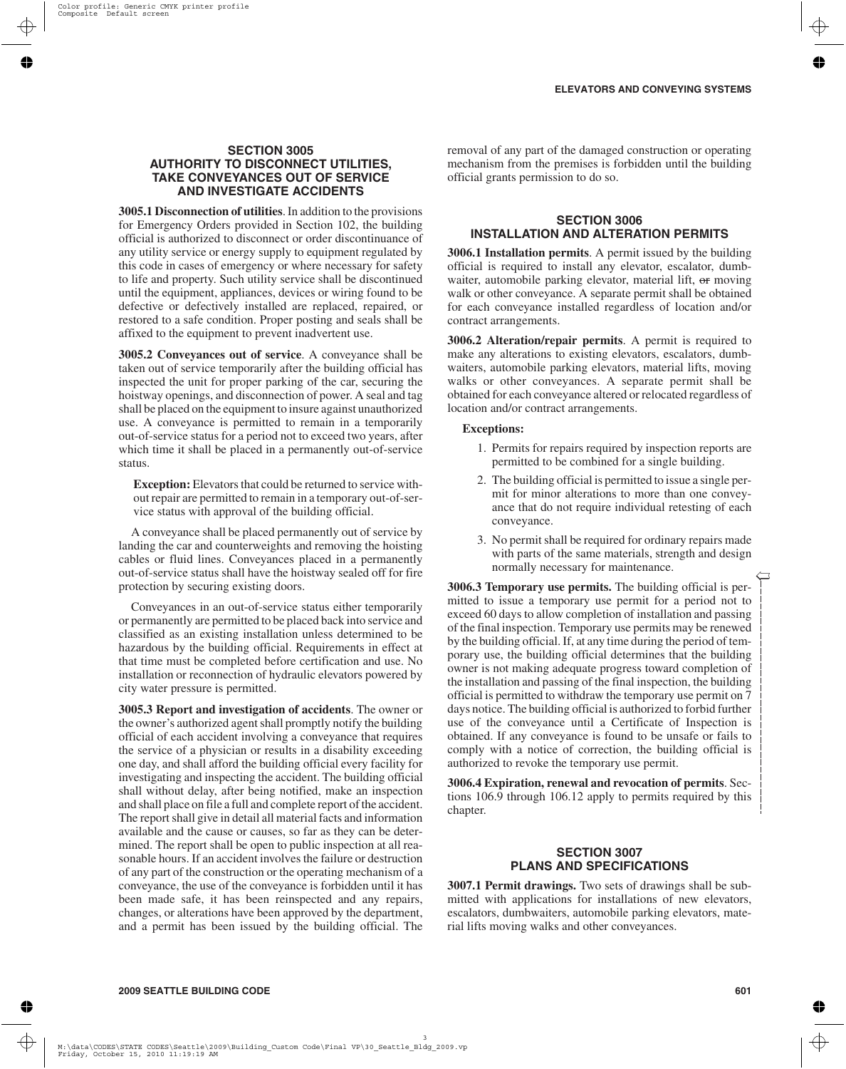## **SECTION 3005 AUTHORITY TO DISCONNECT UTILITIES, TAKE CONVEYANCES OUT OF SERVICE AND INVESTIGATE ACCIDENTS**

**3005.1 Disconnection of utilities**. In addition to the provisions for Emergency Orders provided in Section 102, the building official is authorized to disconnect or order discontinuance of any utility service or energy supply to equipment regulated by this code in cases of emergency or where necessary for safety to life and property. Such utility service shall be discontinued until the equipment, appliances, devices or wiring found to be defective or defectively installed are replaced, repaired, or restored to a safe condition. Proper posting and seals shall be affixed to the equipment to prevent inadvertent use.

**3005.2 Conveyances out of service**. A conveyance shall be taken out of service temporarily after the building official has inspected the unit for proper parking of the car, securing the hoistway openings, and disconnection of power. A seal and tag shall be placed on the equipment to insure against unauthorized use. A conveyance is permitted to remain in a temporarily out-of-service status for a period not to exceed two years, after which time it shall be placed in a permanently out-of-service status.

**Exception:** Elevators that could be returned to service without repair are permitted to remain in a temporary out-of-service status with approval of the building official.

A conveyance shall be placed permanently out of service by landing the car and counterweights and removing the hoisting cables or fluid lines. Conveyances placed in a permanently out-of-service status shall have the hoistway sealed off for fire protection by securing existing doors.

Conveyances in an out-of-service status either temporarily or permanently are permitted to be placed back into service and classified as an existing installation unless determined to be hazardous by the building official. Requirements in effect at that time must be completed before certification and use. No installation or reconnection of hydraulic elevators powered by city water pressure is permitted.

**3005.3 Report and investigation of accidents**. The owner or the owner's authorized agent shall promptly notify the building official of each accident involving a conveyance that requires the service of a physician or results in a disability exceeding one day, and shall afford the building official every facility for investigating and inspecting the accident. The building official shall without delay, after being notified, make an inspection and shall place on file a full and complete report of the accident. The report shall give in detail all material facts and information available and the cause or causes, so far as they can be determined. The report shall be open to public inspection at all reasonable hours. If an accident involves the failure or destruction of any part of the construction or the operating mechanism of a conveyance, the use of the conveyance is forbidden until it has been made safe, it has been reinspected and any repairs, changes, or alterations have been approved by the department, and a permit has been issued by the building official. The

removal of any part of the damaged construction or operating mechanism from the premises is forbidden until the building official grants permission to do so.

## **SECTION 3006 INSTALLATION AND ALTERATION PERMITS**

**3006.1 Installation permits**. A permit issued by the building official is required to install any elevator, escalator, dumbwaiter, automobile parking elevator, material lift, or moving walk or other conveyance. A separate permit shall be obtained for each conveyance installed regardless of location and/or contract arrangements.

**3006.2 Alteration/repair permits**. A permit is required to make any alterations to existing elevators, escalators, dumbwaiters, automobile parking elevators, material lifts, moving walks or other conveyances. A separate permit shall be obtained for each conveyance altered or relocated regardless of location and/or contract arrangements.

#### **Exceptions:**

- 1. Permits for repairs required by inspection reports are permitted to be combined for a single building.
- 2. The building official is permitted to issue a single permit for minor alterations to more than one conveyance that do not require individual retesting of each conveyance.
- 3. No permit shall be required for ordinary repairs made with parts of the same materials, strength and design normally necessary for maintenance.

**3006.3 Temporary use permits.** The building official is permitted to issue a temporary use permit for a period not to exceed 60 days to allow completion of installation and passing of the final inspection. Temporary use permits may be renewed by the building official. If, at any time during the period of temporary use, the building official determines that the building owner is not making adequate progress toward completion of the installation and passing of the final inspection, the building official is permitted to withdraw the temporary use permit on 7 days notice. The building official is authorized to forbid further use of the conveyance until a Certificate of Inspection is obtained. If any conveyance is found to be unsafe or fails to comply with a notice of correction, the building official is authorized to revoke the temporary use permit.

**3006.4 Expiration, renewal and revocation of permits**. Sections 106.9 through 106.12 apply to permits required by this chapter.

## **SECTION 3007 PLANS AND SPECIFICATIONS**

**3007.1 Permit drawings.** Two sets of drawings shall be submitted with applications for installations of new elevators, escalators, dumbwaiters, automobile parking elevators, material lifts moving walks and other conveyances.

➱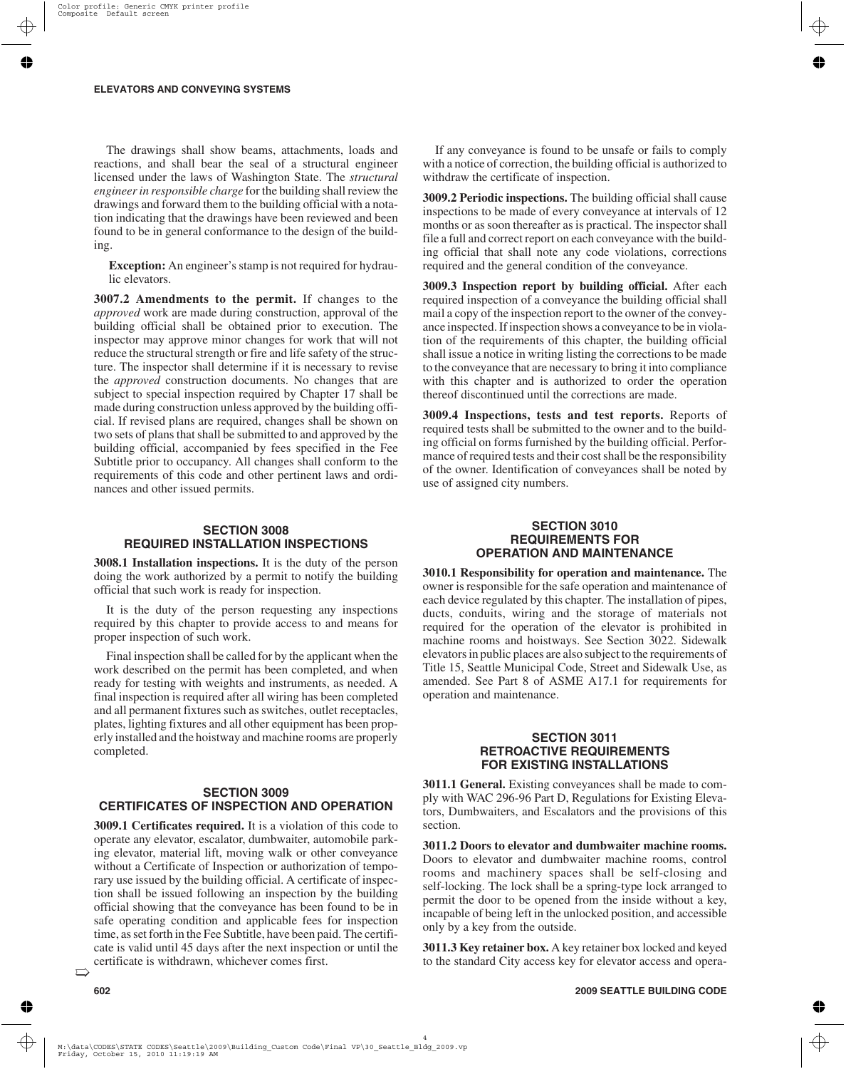The drawings shall show beams, attachments, loads and reactions, and shall bear the seal of a structural engineer licensed under the laws of Washington State. The *structural engineer in responsible charge* for the building shall review the drawings and forward them to the building official with a notation indicating that the drawings have been reviewed and been found to be in general conformance to the design of the building.

**Exception:** An engineer's stamp is not required for hydraulic elevators.

**3007.2 Amendments to the permit.** If changes to the *approved* work are made during construction, approval of the building official shall be obtained prior to execution. The inspector may approve minor changes for work that will not reduce the structural strength or fire and life safety of the structure. The inspector shall determine if it is necessary to revise the *approved* construction documents. No changes that are subject to special inspection required by Chapter 17 shall be made during construction unless approved by the building official. If revised plans are required, changes shall be shown on two sets of plans that shall be submitted to and approved by the building official, accompanied by fees specified in the Fee Subtitle prior to occupancy. All changes shall conform to the requirements of this code and other pertinent laws and ordinances and other issued permits.

#### **SECTION 3008 REQUIRED INSTALLATION INSPECTIONS**

**3008.1 Installation inspections.** It is the duty of the person doing the work authorized by a permit to notify the building official that such work is ready for inspection.

It is the duty of the person requesting any inspections required by this chapter to provide access to and means for proper inspection of such work.

Final inspection shall be called for by the applicant when the work described on the permit has been completed, and when ready for testing with weights and instruments, as needed. A final inspection is required after all wiring has been completed and all permanent fixtures such as switches, outlet receptacles, plates, lighting fixtures and all other equipment has been properly installed and the hoistway and machine rooms are properly completed.

### **SECTION 3009 CERTIFICATES OF INSPECTION AND OPERATION**

**3009.1 Certificates required.** It is a violation of this code to operate any elevator, escalator, dumbwaiter, automobile parking elevator, material lift, moving walk or other conveyance without a Certificate of Inspection or authorization of temporary use issued by the building official. A certificate of inspection shall be issued following an inspection by the building official showing that the conveyance has been found to be in safe operating condition and applicable fees for inspection time, as set forth in the Fee Subtitle, have been paid. The certificate is valid until 45 days after the next inspection or until the certificate is withdrawn, whichever comes first.

If any conveyance is found to be unsafe or fails to comply with a notice of correction, the building official is authorized to withdraw the certificate of inspection.

**3009.2 Periodic inspections.** The building official shall cause inspections to be made of every conveyance at intervals of 12 months or as soon thereafter as is practical. The inspector shall file a full and correct report on each conveyance with the building official that shall note any code violations, corrections required and the general condition of the conveyance.

**3009.3 Inspection report by building official.** After each required inspection of a conveyance the building official shall mail a copy of the inspection report to the owner of the conveyance inspected. If inspection shows a conveyance to be in violation of the requirements of this chapter, the building official shall issue a notice in writing listing the corrections to be made to the conveyance that are necessary to bring it into compliance with this chapter and is authorized to order the operation thereof discontinued until the corrections are made.

**3009.4 Inspections, tests and test reports.** Reports of required tests shall be submitted to the owner and to the building official on forms furnished by the building official. Performance of required tests and their cost shall be the responsibility of the owner. Identification of conveyances shall be noted by use of assigned city numbers.

## **SECTION 3010 REQUIREMENTS FOR OPERATION AND MAINTENANCE**

**3010.1 Responsibility for operation and maintenance.** The owner is responsible for the safe operation and maintenance of each device regulated by this chapter. The installation of pipes, ducts, conduits, wiring and the storage of materials not required for the operation of the elevator is prohibited in machine rooms and hoistways. See Section 3022. Sidewalk elevators in public places are also subject to the requirements of Title 15, Seattle Municipal Code, Street and Sidewalk Use, as amended. See Part 8 of ASME A17.1 for requirements for operation and maintenance.

## **SECTION 3011 RETROACTIVE REQUIREMENTS FOR EXISTING INSTALLATIONS**

**3011.1 General.** Existing conveyances shall be made to comply with WAC 296-96 Part D, Regulations for Existing Elevators, Dumbwaiters, and Escalators and the provisions of this section.

**3011.2 Doors to elevator and dumbwaiter machine rooms.** Doors to elevator and dumbwaiter machine rooms, control rooms and machinery spaces shall be self-closing and self-locking. The lock shall be a spring-type lock arranged to permit the door to be opened from the inside without a key, incapable of being left in the unlocked position, and accessible only by a key from the outside.

**3011.3 Key retainer box.** A key retainer box locked and keyed to the standard City access key for elevator access and opera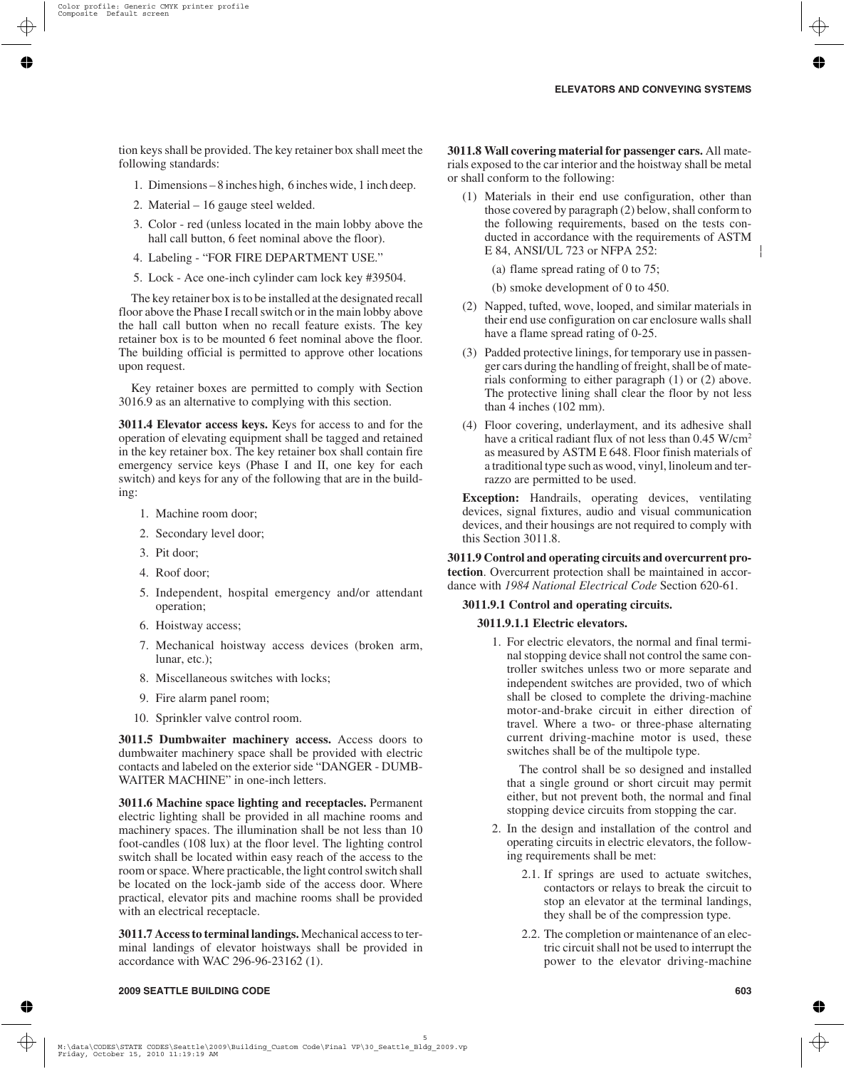tion keys shall be provided. The key retainer box shall meet the following standards:

- 1. Dimensions 8 inches high, 6 inches wide, 1 inch deep.
- 2. Material 16 gauge steel welded.
- 3. Color red (unless located in the main lobby above the hall call button, 6 feet nominal above the floor).
- 4. Labeling "FOR FIRE DEPARTMENT USE."
- 5. Lock Ace one-inch cylinder cam lock key #39504.

The key retainer box is to be installed at the designated recall floor above the Phase I recall switch or in the main lobby above the hall call button when no recall feature exists. The key retainer box is to be mounted 6 feet nominal above the floor. The building official is permitted to approve other locations upon request.

Key retainer boxes are permitted to comply with Section 3016.9 as an alternative to complying with this section.

**3011.4 Elevator access keys.** Keys for access to and for the operation of elevating equipment shall be tagged and retained in the key retainer box. The key retainer box shall contain fire emergency service keys (Phase I and II, one key for each switch) and keys for any of the following that are in the building:

- 1. Machine room door;
- 2. Secondary level door;
- 3. Pit door;
- 4. Roof door;
- 5. Independent, hospital emergency and/or attendant operation;
- 6. Hoistway access;
- 7. Mechanical hoistway access devices (broken arm, lunar, etc.);
- 8. Miscellaneous switches with locks;
- 9. Fire alarm panel room;
- 10. Sprinkler valve control room.

**3011.5 Dumbwaiter machinery access.** Access doors to dumbwaiter machinery space shall be provided with electric contacts and labeled on the exterior side "DANGER - DUMB-WAITER MACHINE" in one-inch letters.

**3011.6 Machine space lighting and receptacles.** Permanent electric lighting shall be provided in all machine rooms and machinery spaces. The illumination shall be not less than 10 foot-candles (108 lux) at the floor level. The lighting control switch shall be located within easy reach of the access to the room or space. Where practicable, the light control switch shall be located on the lock-jamb side of the access door. Where practical, elevator pits and machine rooms shall be provided with an electrical receptacle.

**3011.7 Access to terminal landings.** Mechanical access to terminal landings of elevator hoistways shall be provided in accordance with WAC 296-96-23162 (1).

**3011.8 Wall covering material for passenger cars.** All materials exposed to the car interior and the hoistway shall be metal or shall conform to the following:

(1) Materials in their end use configuration, other than those covered by paragraph (2) below, shall conform to the following requirements, based on the tests conducted in accordance with the requirements of ASTM E 84, ANSI/UL 723 or NFPA 252:

(a) flame spread rating of 0 to 75;

(b) smoke development of 0 to 450.

- (2) Napped, tufted, wove, looped, and similar materials in their end use configuration on car enclosure walls shall have a flame spread rating of 0-25.
- (3) Padded protective linings, for temporary use in passenger cars during the handling of freight, shall be of materials conforming to either paragraph (1) or (2) above. The protective lining shall clear the floor by not less than 4 inches (102 mm).
- (4) Floor covering, underlayment, and its adhesive shall have a critical radiant flux of not less than 0.45 W/cm<sup>2</sup> as measured by ASTM E 648. Floor finish materials of a traditional type such as wood, vinyl, linoleum and terrazzo are permitted to be used.

**Exception:** Handrails, operating devices, ventilating devices, signal fixtures, audio and visual communication devices, and their housings are not required to comply with this Section 3011.8.

**3011.9 Control and operating circuits and overcurrent protection**. Overcurrent protection shall be maintained in accordance with *1984 National Electrical Code* Section 620-61.

### **3011.9.1 Control and operating circuits.**

#### **3011.9.1.1 Electric elevators.**

1. For electric elevators, the normal and final terminal stopping device shall not control the same controller switches unless two or more separate and independent switches are provided, two of which shall be closed to complete the driving-machine motor-and-brake circuit in either direction of travel. Where a two- or three-phase alternating current driving-machine motor is used, these switches shall be of the multipole type.

The control shall be so designed and installed that a single ground or short circuit may permit either, but not prevent both, the normal and final stopping device circuits from stopping the car.

- 2. In the design and installation of the control and operating circuits in electric elevators, the following requirements shall be met:
	- 2.1. If springs are used to actuate switches, contactors or relays to break the circuit to stop an elevator at the terminal landings, they shall be of the compression type.
	- 2.2. The completion or maintenance of an electric circuit shall not be used to interrupt the power to the elevator driving-machine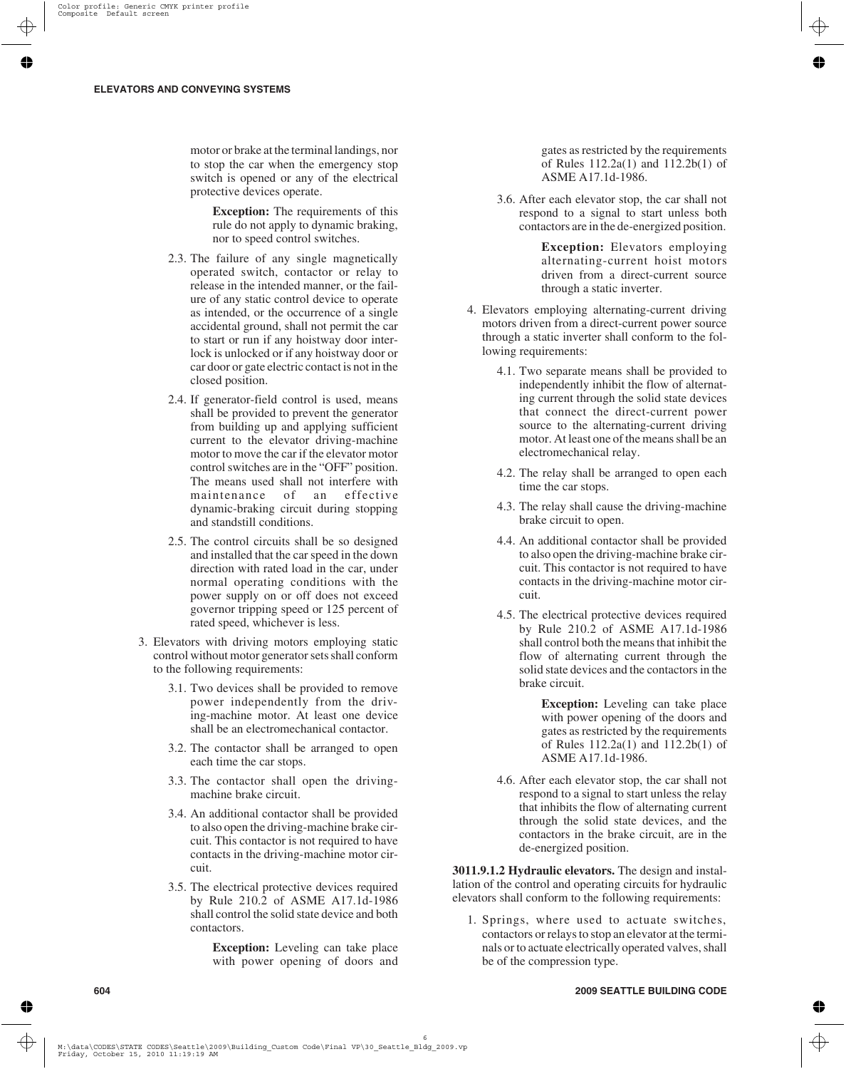motor or brake at the terminal landings, nor to stop the car when the emergency stop switch is opened or any of the electrical protective devices operate.

> **Exception:** The requirements of this rule do not apply to dynamic braking, nor to speed control switches.

- 2.3. The failure of any single magnetically operated switch, contactor or relay to release in the intended manner, or the failure of any static control device to operate as intended, or the occurrence of a single accidental ground, shall not permit the car to start or run if any hoistway door interlock is unlocked or if any hoistway door or car door or gate electric contact is not in the closed position.
- 2.4. If generator-field control is used, means shall be provided to prevent the generator from building up and applying sufficient current to the elevator driving-machine motor to move the car if the elevator motor control switches are in the "OFF" position. The means used shall not interfere with maintenance of an effective dynamic-braking circuit during stopping and standstill conditions.
- 2.5. The control circuits shall be so designed and installed that the car speed in the down direction with rated load in the car, under normal operating conditions with the power supply on or off does not exceed governor tripping speed or 125 percent of rated speed, whichever is less.
- 3. Elevators with driving motors employing static control without motor generator sets shall conform to the following requirements:
	- 3.1. Two devices shall be provided to remove power independently from the driving-machine motor. At least one device shall be an electromechanical contactor.
	- 3.2. The contactor shall be arranged to open each time the car stops.
	- 3.3. The contactor shall open the drivingmachine brake circuit.
	- 3.4. An additional contactor shall be provided to also open the driving-machine brake circuit. This contactor is not required to have contacts in the driving-machine motor circuit.
	- 3.5. The electrical protective devices required by Rule 210.2 of ASME A17.1d-1986 shall control the solid state device and both contactors.

**Exception:** Leveling can take place with power opening of doors and gates as restricted by the requirements of Rules 112.2a(1) and 112.2b(1) of ASME A17.1d-1986.

3.6. After each elevator stop, the car shall not respond to a signal to start unless both contactors are in the de-energized position.

> **Exception:** Elevators employing alternating-current hoist motors driven from a direct-current source through a static inverter.

- 4. Elevators employing alternating-current driving motors driven from a direct-current power source through a static inverter shall conform to the following requirements:
	- 4.1. Two separate means shall be provided to independently inhibit the flow of alternating current through the solid state devices that connect the direct-current power source to the alternating-current driving motor. At least one of the means shall be an electromechanical relay.
	- 4.2. The relay shall be arranged to open each time the car stops.
	- 4.3. The relay shall cause the driving-machine brake circuit to open.
	- 4.4. An additional contactor shall be provided to also open the driving-machine brake circuit. This contactor is not required to have contacts in the driving-machine motor circuit.
	- 4.5. The electrical protective devices required by Rule 210.2 of ASME A17.1d-1986 shall control both the means that inhibit the flow of alternating current through the solid state devices and the contactors in the brake circuit.

**Exception:** Leveling can take place with power opening of the doors and gates as restricted by the requirements of Rules 112.2a(1) and 112.2b(1) of ASME A17.1d-1986.

4.6. After each elevator stop, the car shall not respond to a signal to start unless the relay that inhibits the flow of alternating current through the solid state devices, and the contactors in the brake circuit, are in the de-energized position.

**3011.9.1.2 Hydraulic elevators.** The design and installation of the control and operating circuits for hydraulic elevators shall conform to the following requirements:

1. Springs, where used to actuate switches, contactors or relays to stop an elevator at the terminals or to actuate electrically operated valves, shall be of the compression type.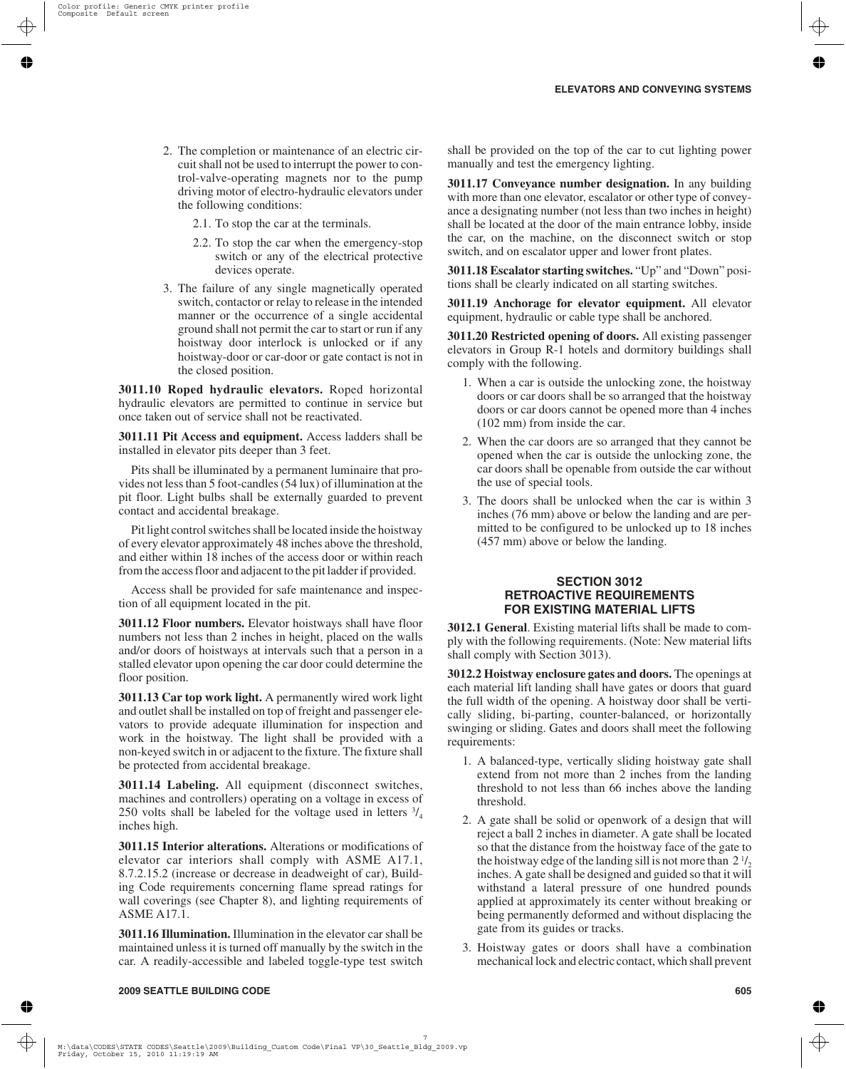- 2. The completion or maintenance of an electric circuit shall not be used to interrupt the power to control-valve-operating magnets nor to the pump driving motor of electro-hydraulic elevators under the following conditions:
	- 2.1. To stop the car at the terminals.
	- 2.2. To stop the car when the emergency-stop switch or any of the electrical protective devices operate.
- 3. The failure of any single magnetically operated switch, contactor or relay to release in the intended manner or the occurrence of a single accidental ground shall not permit the car to start or run if any hoistway door interlock is unlocked or if any hoistway-door or car-door or gate contact is not in the closed position.

**3011.10 Roped hydraulic elevators.** Roped horizontal hydraulic elevators are permitted to continue in service but once taken out of service shall not be reactivated.

**3011.11 Pit Access and equipment.** Access ladders shall be installed in elevator pits deeper than 3 feet.

Pits shall be illuminated by a permanent luminaire that provides not less than 5 foot-candles (54 lux) of illumination at the pit floor. Light bulbs shall be externally guarded to prevent contact and accidental breakage.

Pit light control switches shall be located inside the hoistway of every elevator approximately 48 inches above the threshold, and either within 18 inches of the access door or within reach from the access floor and adjacent to the pit ladder if provided.

Access shall be provided for safe maintenance and inspection of all equipment located in the pit.

**3011.12 Floor numbers.** Elevator hoistways shall have floor numbers not less than 2 inches in height, placed on the walls and/or doors of hoistways at intervals such that a person in a stalled elevator upon opening the car door could determine the floor position.

**3011.13 Car top work light.** A permanently wired work light and outlet shall be installed on top of freight and passenger elevators to provide adequate illumination for inspection and work in the hoistway. The light shall be provided with a non-keyed switch in or adjacent to the fixture. The fixture shall be protected from accidental breakage.

**3011.14 Labeling.** All equipment (disconnect switches, machines and controllers) operating on a voltage in excess of 250 volts shall be labeled for the voltage used in letters  $\frac{3}{4}$ inches high.

**3011.15 Interior alterations.** Alterations or modifications of elevator car interiors shall comply with ASME A17.1, 8.7.2.15.2 (increase or decrease in deadweight of car), Building Code requirements concerning flame spread ratings for wall coverings (see Chapter 8), and lighting requirements of ASME A17.1.

**3011.16 Illumination.** Illumination in the elevator car shall be maintained unless it is turned off manually by the switch in the car. A readily-accessible and labeled toggle-type test switch

shall be provided on the top of the car to cut lighting power manually and test the emergency lighting.

**3011.17 Conveyance number designation.** In any building with more than one elevator, escalator or other type of conveyance a designating number (not less than two inches in height) shall be located at the door of the main entrance lobby, inside the car, on the machine, on the disconnect switch or stop switch, and on escalator upper and lower front plates.

**3011.18 Escalator starting switches.** "Up" and "Down" positions shall be clearly indicated on all starting switches.

**3011.19 Anchorage for elevator equipment.** All elevator equipment, hydraulic or cable type shall be anchored.

**3011.20 Restricted opening of doors.** All existing passenger elevators in Group R-1 hotels and dormitory buildings shall comply with the following.

- 1. When a car is outside the unlocking zone, the hoistway doors or car doors shall be so arranged that the hoistway doors or car doors cannot be opened more than 4 inches (102 mm) from inside the car.
- 2. When the car doors are so arranged that they cannot be opened when the car is outside the unlocking zone, the car doors shall be openable from outside the car without the use of special tools.
- 3. The doors shall be unlocked when the car is within 3 inches (76 mm) above or below the landing and are permitted to be configured to be unlocked up to 18 inches (457 mm) above or below the landing.

## **SECTION 3012 RETROACTIVE REQUIREMENTS FOR EXISTING MATERIAL LIFTS**

**3012.1 General**. Existing material lifts shall be made to comply with the following requirements. (Note: New material lifts shall comply with Section 3013).

**3012.2 Hoistway enclosure gates and doors.** The openings at each material lift landing shall have gates or doors that guard the full width of the opening. A hoistway door shall be vertically sliding, bi-parting, counter-balanced, or horizontally swinging or sliding. Gates and doors shall meet the following requirements:

- 1. A balanced-type, vertically sliding hoistway gate shall extend from not more than 2 inches from the landing threshold to not less than 66 inches above the landing threshold.
- 2. A gate shall be solid or openwork of a design that will reject a ball 2 inches in diameter. A gate shall be located so that the distance from the hoistway face of the gate to the hoistway edge of the landing sill is not more than  $2\frac{1}{2}$ inches. A gate shall be designed and guided so that it will withstand a lateral pressure of one hundred pounds applied at approximately its center without breaking or being permanently deformed and without displacing the gate from its guides or tracks.
- 3. Hoistway gates or doors shall have a combination mechanical lock and electric contact, which shall prevent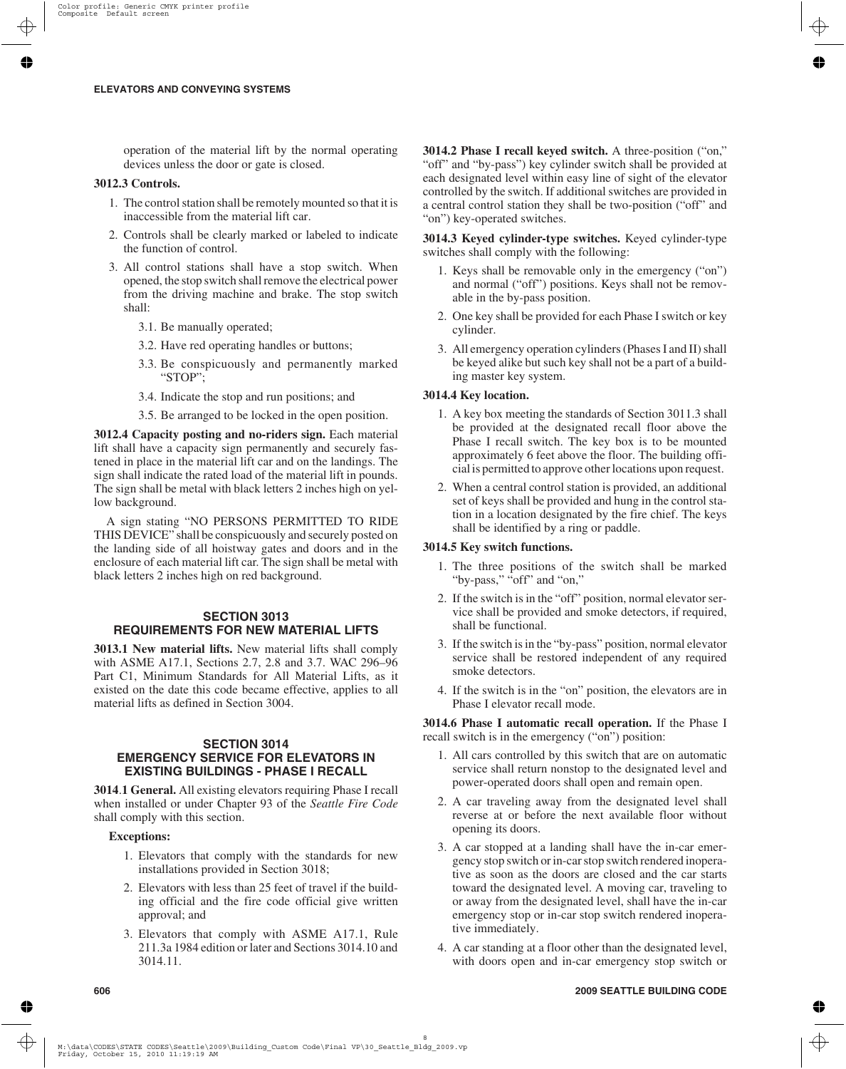operation of the material lift by the normal operating devices unless the door or gate is closed.

## **3012.3 Controls.**

- 1. The control station shall be remotely mounted so that it is inaccessible from the material lift car.
- 2. Controls shall be clearly marked or labeled to indicate the function of control.
- 3. All control stations shall have a stop switch. When opened, the stop switch shall remove the electrical power from the driving machine and brake. The stop switch shall:
	- 3.1. Be manually operated;
	- 3.2. Have red operating handles or buttons;
	- 3.3. Be conspicuously and permanently marked "STOP";
	- 3.4. Indicate the stop and run positions; and
	- 3.5. Be arranged to be locked in the open position.

**3012.4 Capacity posting and no-riders sign.** Each material lift shall have a capacity sign permanently and securely fastened in place in the material lift car and on the landings. The sign shall indicate the rated load of the material lift in pounds. The sign shall be metal with black letters 2 inches high on yellow background.

A sign stating "NO PERSONS PERMITTED TO RIDE THIS DEVICE" shall be conspicuously and securely posted on the landing side of all hoistway gates and doors and in the enclosure of each material lift car. The sign shall be metal with black letters 2 inches high on red background.

# **SECTION 3013 REQUIREMENTS FOR NEW MATERIAL LIFTS**

**3013.1 New material lifts.** New material lifts shall comply with ASME A17.1, Sections 2.7, 2.8 and 3.7. WAC 296–96 Part C1, Minimum Standards for All Material Lifts, as it existed on the date this code became effective, applies to all material lifts as defined in Section 3004.

# **SECTION 3014 EMERGENCY SERVICE FOR ELEVATORS IN EXISTING BUILDINGS - PHASE I RECALL**

**3014**.**1 General.** All existing elevators requiring Phase I recall when installed or under Chapter 93 of the *Seattle Fire Code* shall comply with this section.

# **Exceptions:**

- 1. Elevators that comply with the standards for new installations provided in Section 3018;
- 2. Elevators with less than 25 feet of travel if the building official and the fire code official give written approval; and
- 3. Elevators that comply with ASME A17.1, Rule 211.3a 1984 edition or later and Sections 3014.10 and 3014.11.

**3014.2 Phase I recall keyed switch.** A three-position ("on," "off" and "by-pass") key cylinder switch shall be provided at each designated level within easy line of sight of the elevator controlled by the switch. If additional switches are provided in a central control station they shall be two-position ("off" and "on") key-operated switches.

**3014.3 Keyed cylinder-type switches.** Keyed cylinder-type switches shall comply with the following:

- 1. Keys shall be removable only in the emergency ("on") and normal ("off") positions. Keys shall not be removable in the by-pass position.
- 2. One key shall be provided for each Phase I switch or key cylinder.
- 3. All emergency operation cylinders (Phases I and II) shall be keyed alike but such key shall not be a part of a building master key system.

# **3014.4 Key location.**

- 1. A key box meeting the standards of Section 3011.3 shall be provided at the designated recall floor above the Phase I recall switch. The key box is to be mounted approximately 6 feet above the floor. The building official is permitted to approve other locations upon request.
- 2. When a central control station is provided, an additional set of keys shall be provided and hung in the control station in a location designated by the fire chief. The keys shall be identified by a ring or paddle.

# **3014.5 Key switch functions.**

- 1. The three positions of the switch shall be marked "by-pass," "off" and "on,"
- 2. If the switch is in the "off" position, normal elevator service shall be provided and smoke detectors, if required, shall be functional.
- 3. If the switch is in the "by-pass" position, normal elevator service shall be restored independent of any required smoke detectors.
- 4. If the switch is in the "on" position, the elevators are in Phase I elevator recall mode.

**3014.6 Phase I automatic recall operation.** If the Phase I recall switch is in the emergency ("on") position:

- 1. All cars controlled by this switch that are on automatic service shall return nonstop to the designated level and power-operated doors shall open and remain open.
- 2. A car traveling away from the designated level shall reverse at or before the next available floor without opening its doors.
- 3. A car stopped at a landing shall have the in-car emergency stop switch or in-car stop switch rendered inoperative as soon as the doors are closed and the car starts toward the designated level. A moving car, traveling to or away from the designated level, shall have the in-car emergency stop or in-car stop switch rendered inoperative immediately.
- 4. A car standing at a floor other than the designated level, with doors open and in-car emergency stop switch or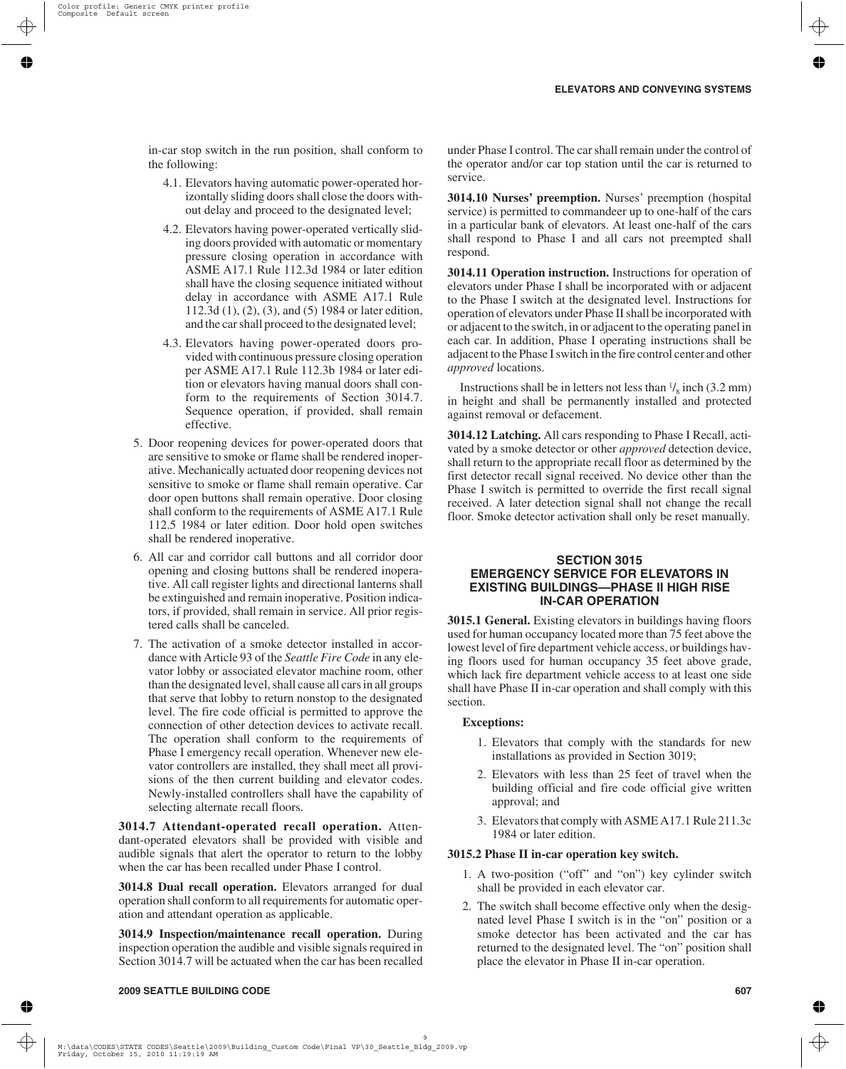in-car stop switch in the run position, shall conform to the following:

- 4.1. Elevators having automatic power-operated horizontally sliding doors shall close the doors without delay and proceed to the designated level;
- 4.2. Elevators having power-operated vertically sliding doors provided with automatic or momentary pressure closing operation in accordance with ASME A17.1 Rule 112.3d 1984 or later edition shall have the closing sequence initiated without delay in accordance with ASME A17.1 Rule 112.3d (1), (2), (3), and (5) 1984 or later edition, and the car shall proceed to the designated level;
- 4.3. Elevators having power-operated doors provided with continuous pressure closing operation per ASME A17.1 Rule 112.3b 1984 or later edition or elevators having manual doors shall conform to the requirements of Section 3014.7. Sequence operation, if provided, shall remain effective.
- 5. Door reopening devices for power-operated doors that are sensitive to smoke or flame shall be rendered inoperative. Mechanically actuated door reopening devices not sensitive to smoke or flame shall remain operative. Car door open buttons shall remain operative. Door closing shall conform to the requirements of ASME A17.1 Rule 112.5 1984 or later edition. Door hold open switches shall be rendered inoperative.
- 6. All car and corridor call buttons and all corridor door opening and closing buttons shall be rendered inoperative. All call register lights and directional lanterns shall be extinguished and remain inoperative. Position indicators, if provided, shall remain in service. All prior registered calls shall be canceled.
- 7. The activation of a smoke detector installed in accordance with Article 93 of the *Seattle Fire Code* in any elevator lobby or associated elevator machine room, other than the designated level, shall cause all cars in all groups that serve that lobby to return nonstop to the designated level. The fire code official is permitted to approve the connection of other detection devices to activate recall. The operation shall conform to the requirements of Phase I emergency recall operation. Whenever new elevator controllers are installed, they shall meet all provisions of the then current building and elevator codes. Newly-installed controllers shall have the capability of selecting alternate recall floors.

**3014.7 Attendant-operated recall operation.** Attendant-operated elevators shall be provided with visible and audible signals that alert the operator to return to the lobby when the car has been recalled under Phase I control.

**3014.8 Dual recall operation.** Elevators arranged for dual operation shall conform to all requirements for automatic operation and attendant operation as applicable.

**3014.9 Inspection/maintenance recall operation.** During inspection operation the audible and visible signals required in Section 3014.7 will be actuated when the car has been recalled

under Phase I control. The car shall remain under the control of the operator and/or car top station until the car is returned to service.

**3014.10 Nurses' preemption.** Nurses' preemption (hospital service) is permitted to commandeer up to one-half of the cars in a particular bank of elevators. At least one-half of the cars shall respond to Phase I and all cars not preempted shall respond.

**3014.11 Operation instruction.** Instructions for operation of elevators under Phase I shall be incorporated with or adjacent to the Phase I switch at the designated level. Instructions for operation of elevators under Phase II shall be incorporated with or adjacent to the switch, in or adjacent to the operating panel in each car. In addition, Phase I operating instructions shall be adjacent to the Phase I switch in the fire control center and other *approved* locations.

Instructions shall be in letters not less than  $\frac{1}{8}$  inch (3.2 mm) in height and shall be permanently installed and protected against removal or defacement.

**3014.12 Latching.** All cars responding to Phase I Recall, activated by a smoke detector or other *approved* detection device, shall return to the appropriate recall floor as determined by the first detector recall signal received. No device other than the Phase I switch is permitted to override the first recall signal received. A later detection signal shall not change the recall floor. Smoke detector activation shall only be reset manually.

## **SECTION 3015 EMERGENCY SERVICE FOR ELEVATORS IN EXISTING BUILDINGS—PHASE II HIGH RISE IN-CAR OPERATION**

**3015.1 General.** Existing elevators in buildings having floors used for human occupancy located more than 75 feet above the lowest level of fire department vehicle access, or buildings having floors used for human occupancy 35 feet above grade, which lack fire department vehicle access to at least one side shall have Phase II in-car operation and shall comply with this section.

#### **Exceptions:**

- 1. Elevators that comply with the standards for new installations as provided in Section 3019;
- 2. Elevators with less than 25 feet of travel when the building official and fire code official give written approval; and
- 3. Elevators that comply with ASME A17.1 Rule 211.3c 1984 or later edition.

### **3015.2 Phase II in-car operation key switch.**

- 1. A two-position ("off" and "on") key cylinder switch shall be provided in each elevator car.
- 2. The switch shall become effective only when the designated level Phase I switch is in the "on" position or a smoke detector has been activated and the car has returned to the designated level. The "on" position shall place the elevator in Phase II in-car operation.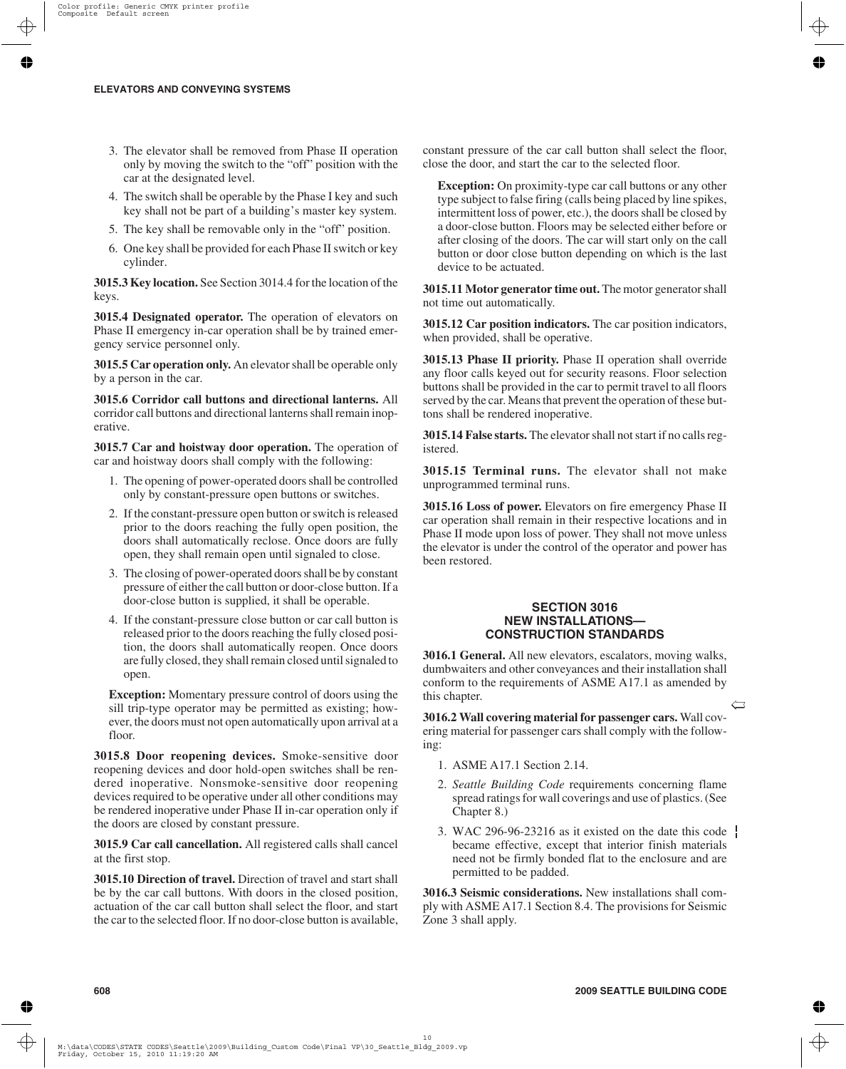- 3. The elevator shall be removed from Phase II operation only by moving the switch to the "off" position with the car at the designated level.
- 4. The switch shall be operable by the Phase I key and such key shall not be part of a building's master key system.
- 5. The key shall be removable only in the "off" position.
- 6. One key shall be provided for each Phase II switch or key cylinder.

**3015.3 Key location.** See Section 3014.4 for the location of the keys.

**3015.4 Designated operator.** The operation of elevators on Phase II emergency in-car operation shall be by trained emergency service personnel only.

**3015.5 Car operation only.** An elevator shall be operable only by a person in the car.

**3015.6 Corridor call buttons and directional lanterns.** All corridor call buttons and directional lanterns shall remain inoperative.

**3015.7 Car and hoistway door operation.** The operation of car and hoistway doors shall comply with the following:

- 1. The opening of power-operated doors shall be controlled only by constant-pressure open buttons or switches.
- 2. If the constant-pressure open button or switch is released prior to the doors reaching the fully open position, the doors shall automatically reclose. Once doors are fully open, they shall remain open until signaled to close.
- 3. The closing of power-operated doors shall be by constant pressure of either the call button or door-close button. If a door-close button is supplied, it shall be operable.
- 4. If the constant-pressure close button or car call button is released prior to the doors reaching the fully closed position, the doors shall automatically reopen. Once doors are fully closed, they shall remain closed until signaled to open.

**Exception:** Momentary pressure control of doors using the sill trip-type operator may be permitted as existing; however, the doors must not open automatically upon arrival at a floor.

**3015.8 Door reopening devices.** Smoke-sensitive door reopening devices and door hold-open switches shall be rendered inoperative. Nonsmoke-sensitive door reopening devices required to be operative under all other conditions may be rendered inoperative under Phase II in-car operation only if the doors are closed by constant pressure.

**3015.9 Car call cancellation.** All registered calls shall cancel at the first stop.

**3015.10 Direction of travel.** Direction of travel and start shall be by the car call buttons. With doors in the closed position, actuation of the car call button shall select the floor, and start the car to the selected floor. If no door-close button is available, constant pressure of the car call button shall select the floor, close the door, and start the car to the selected floor.

**Exception:** On proximity-type car call buttons or any other type subject to false firing (calls being placed by line spikes, intermittent loss of power, etc.), the doors shall be closed by a door-close button. Floors may be selected either before or after closing of the doors. The car will start only on the call button or door close button depending on which is the last device to be actuated.

**3015.11 Motor generator time out.** The motor generator shall not time out automatically.

**3015.12 Car position indicators.** The car position indicators, when provided, shall be operative.

**3015.13 Phase II priority.** Phase II operation shall override any floor calls keyed out for security reasons. Floor selection buttons shall be provided in the car to permit travel to all floors served by the car. Means that prevent the operation of these buttons shall be rendered inoperative.

**3015.14 False starts.** The elevator shall not start if no calls registered.

**3015.15 Terminal runs.** The elevator shall not make unprogrammed terminal runs.

**3015.16 Loss of power.** Elevators on fire emergency Phase II car operation shall remain in their respective locations and in Phase II mode upon loss of power. They shall not move unless the elevator is under the control of the operator and power has been restored.

### **SECTION 3016 NEW INSTALLATIONS— CONSTRUCTION STANDARDS**

**3016.1 General.** All new elevators, escalators, moving walks, dumbwaiters and other conveyances and their installation shall conform to the requirements of ASME A17.1 as amended by this chapter.

**3016.2 Wall covering material for passenger cars.** Wall covering material for passenger cars shall comply with the following:

- 1. ASME A17.1 Section 2.14.
- 2. *Seattle Building Code* requirements concerning flame spread ratings for wall coverings and use of plastics. (See Chapter 8.)
- 3. WAC 296-96-23216 as it existed on the date this code  $\frac{1}{2}$ became effective, except that interior finish materials need not be firmly bonded flat to the enclosure and are permitted to be padded.

**3016.3 Seismic considerations.** New installations shall comply with ASME A17.1 Section 8.4. The provisions for Seismic Zone 3 shall apply.

 $\leftarrow$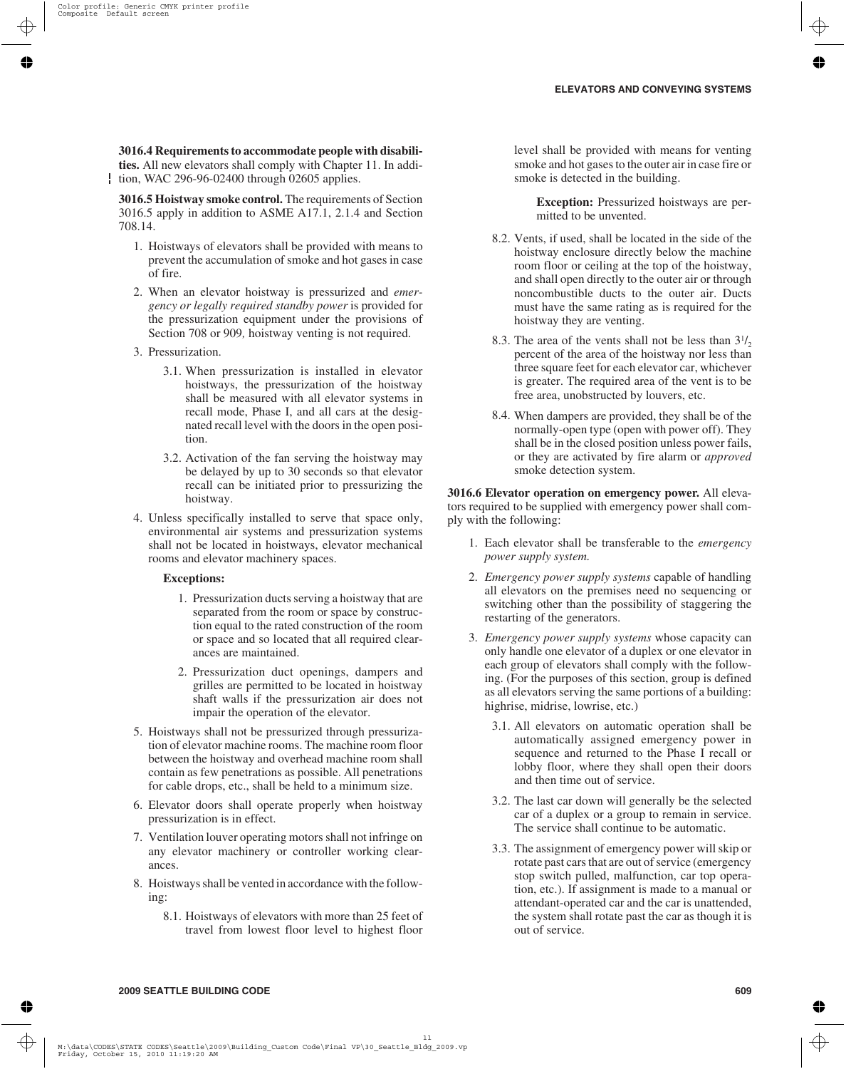### **3016.4 Requirements to accommodate people with disabili-**

**ties.** All new elevators shall comply with Chapter 11. In addition, WAC 296-96-02400 through 02605 applies.

**3016.5 Hoistway smoke control.** The requirements of Section 3016.5 apply in addition to ASME A17.1, 2.1.4 and Section 708.14.

- 1. Hoistways of elevators shall be provided with means to prevent the accumulation of smoke and hot gases in case of fire.
- 2. When an elevator hoistway is pressurized and *emergency or legally required standby power* is provided for the pressurization equipment under the provisions of Section 708 or 909*,* hoistway venting is not required.
- 3. Pressurization.
	- 3.1. When pressurization is installed in elevator hoistways, the pressurization of the hoistway shall be measured with all elevator systems in recall mode, Phase I, and all cars at the designated recall level with the doors in the open position.
	- 3.2. Activation of the fan serving the hoistway may be delayed by up to 30 seconds so that elevator recall can be initiated prior to pressurizing the hoistway.
- 4. Unless specifically installed to serve that space only, environmental air systems and pressurization systems shall not be located in hoistways, elevator mechanical rooms and elevator machinery spaces.

#### **Exceptions:**

- 1. Pressurization ducts serving a hoistway that are separated from the room or space by construction equal to the rated construction of the room or space and so located that all required clearances are maintained.
- 2. Pressurization duct openings, dampers and grilles are permitted to be located in hoistway shaft walls if the pressurization air does not impair the operation of the elevator.
- 5. Hoistways shall not be pressurized through pressurization of elevator machine rooms. The machine room floor between the hoistway and overhead machine room shall contain as few penetrations as possible. All penetrations for cable drops, etc., shall be held to a minimum size.
- 6. Elevator doors shall operate properly when hoistway pressurization is in effect.
- 7. Ventilation louver operating motors shall not infringe on any elevator machinery or controller working clearances.
- 8. Hoistways shall be vented in accordance with the following:
	- 8.1. Hoistways of elevators with more than 25 feet of travel from lowest floor level to highest floor

level shall be provided with means for venting smoke and hot gases to the outer air in case fire or smoke is detected in the building.

**Exception:** Pressurized hoistways are permitted to be unvented.

- 8.2. Vents, if used, shall be located in the side of the hoistway enclosure directly below the machine room floor or ceiling at the top of the hoistway, and shall open directly to the outer air or through noncombustible ducts to the outer air. Ducts must have the same rating as is required for the hoistway they are venting.
- 8.3. The area of the vents shall not be less than  $3^{1/2}$ percent of the area of the hoistway nor less than three square feet for each elevator car, whichever is greater. The required area of the vent is to be free area, unobstructed by louvers, etc.
- 8.4. When dampers are provided, they shall be of the normally-open type (open with power off). They shall be in the closed position unless power fails, or they are activated by fire alarm or *approved* smoke detection system.

**3016.6 Elevator operation on emergency power.** All elevators required to be supplied with emergency power shall comply with the following:

- 1. Each elevator shall be transferable to the *emergency power supply system.*
- 2. *Emergency power supply systems* capable of handling all elevators on the premises need no sequencing or switching other than the possibility of staggering the restarting of the generators.
- 3. *Emergency power supply systems* whose capacity can only handle one elevator of a duplex or one elevator in each group of elevators shall comply with the following. (For the purposes of this section, group is defined as all elevators serving the same portions of a building: highrise, midrise, lowrise, etc.)
	- 3.1. All elevators on automatic operation shall be automatically assigned emergency power in sequence and returned to the Phase I recall or lobby floor, where they shall open their doors and then time out of service.
	- 3.2. The last car down will generally be the selected car of a duplex or a group to remain in service. The service shall continue to be automatic.
	- 3.3. The assignment of emergency power will skip or rotate past cars that are out of service (emergency stop switch pulled, malfunction, car top operation, etc.). If assignment is made to a manual or attendant-operated car and the car is unattended, the system shall rotate past the car as though it is out of service.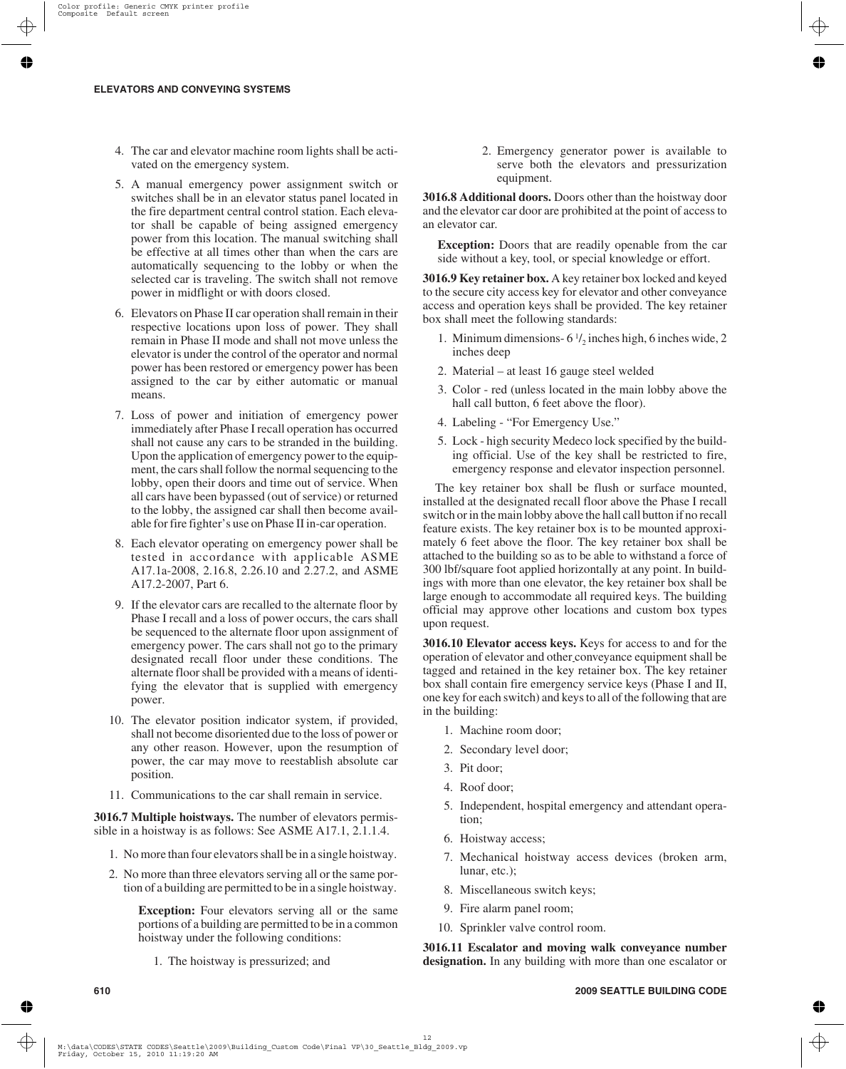- 4. The car and elevator machine room lights shall be activated on the emergency system.
- 5. A manual emergency power assignment switch or switches shall be in an elevator status panel located in the fire department central control station. Each elevator shall be capable of being assigned emergency power from this location. The manual switching shall be effective at all times other than when the cars are automatically sequencing to the lobby or when the selected car is traveling. The switch shall not remove power in midflight or with doors closed.
- 6. Elevators on Phase II car operation shall remain in their respective locations upon loss of power. They shall remain in Phase II mode and shall not move unless the elevator is under the control of the operator and normal power has been restored or emergency power has been assigned to the car by either automatic or manual means.
- 7. Loss of power and initiation of emergency power immediately after Phase I recall operation has occurred shall not cause any cars to be stranded in the building. Upon the application of emergency power to the equipment, the cars shall follow the normal sequencing to the lobby, open their doors and time out of service. When all cars have been bypassed (out of service) or returned to the lobby, the assigned car shall then become available for fire fighter's use on Phase II in-car operation.
- 8. Each elevator operating on emergency power shall be tested in accordance with applicable ASME A17.1a-2008, 2.16.8, 2.26.10 and 2.27.2, and ASME A17.2-2007, Part 6.
- 9. If the elevator cars are recalled to the alternate floor by Phase I recall and a loss of power occurs, the cars shall be sequenced to the alternate floor upon assignment of emergency power. The cars shall not go to the primary designated recall floor under these conditions. The alternate floor shall be provided with a means of identifying the elevator that is supplied with emergency power.
- 10. The elevator position indicator system, if provided, shall not become disoriented due to the loss of power or any other reason. However, upon the resumption of power, the car may move to reestablish absolute car position.
- 11. Communications to the car shall remain in service.

**3016.7 Multiple hoistways.** The number of elevators permissible in a hoistway is as follows: See ASME A17.1, 2.1.1.4.

- 1. No more than four elevators shall be in a single hoistway.
- 2. No more than three elevators serving all or the same portion of a building are permitted to be in a single hoistway.

**Exception:** Four elevators serving all or the same portions of a building are permitted to be in a common hoistway under the following conditions:

1. The hoistway is pressurized; and

2. Emergency generator power is available to serve both the elevators and pressurization equipment.

**3016.8 Additional doors.** Doors other than the hoistway door and the elevator car door are prohibited at the point of access to an elevator car.

**Exception:** Doors that are readily openable from the car side without a key, tool, or special knowledge or effort.

**3016.9 Key retainer box.** A key retainer box locked and keyed to the secure city access key for elevator and other conveyance access and operation keys shall be provided. The key retainer box shall meet the following standards:

- 1. Minimum dimensions-  $6\frac{1}{2}$  inches high, 6 inches wide, 2 inches deep
- 2. Material at least 16 gauge steel welded
- 3. Color red (unless located in the main lobby above the hall call button, 6 feet above the floor).
- 4. Labeling "For Emergency Use."
- 5. Lock high security Medeco lock specified by the building official. Use of the key shall be restricted to fire, emergency response and elevator inspection personnel.

The key retainer box shall be flush or surface mounted, installed at the designated recall floor above the Phase I recall switch or in the main lobby above the hall call button if no recall feature exists. The key retainer box is to be mounted approximately 6 feet above the floor. The key retainer box shall be attached to the building so as to be able to withstand a force of 300 lbf/square foot applied horizontally at any point. In buildings with more than one elevator, the key retainer box shall be large enough to accommodate all required keys. The building official may approve other locations and custom box types upon request.

**3016.10 Elevator access keys.** Keys for access to and for the operation of elevator and other conveyance equipment shall be tagged and retained in the key retainer box. The key retainer box shall contain fire emergency service keys (Phase I and II, one key for each switch) and keys to all of the following that are in the building:

- 1. Machine room door;
- 2. Secondary level door;
- 3. Pit door;
- 4. Roof door;
- 5. Independent, hospital emergency and attendant operation;
- 6. Hoistway access;
- 7. Mechanical hoistway access devices (broken arm, lunar, etc.);
- 8. Miscellaneous switch keys;
- 9. Fire alarm panel room;
- 10. Sprinkler valve control room.

**3016.11 Escalator and moving walk conveyance number designation.** In any building with more than one escalator or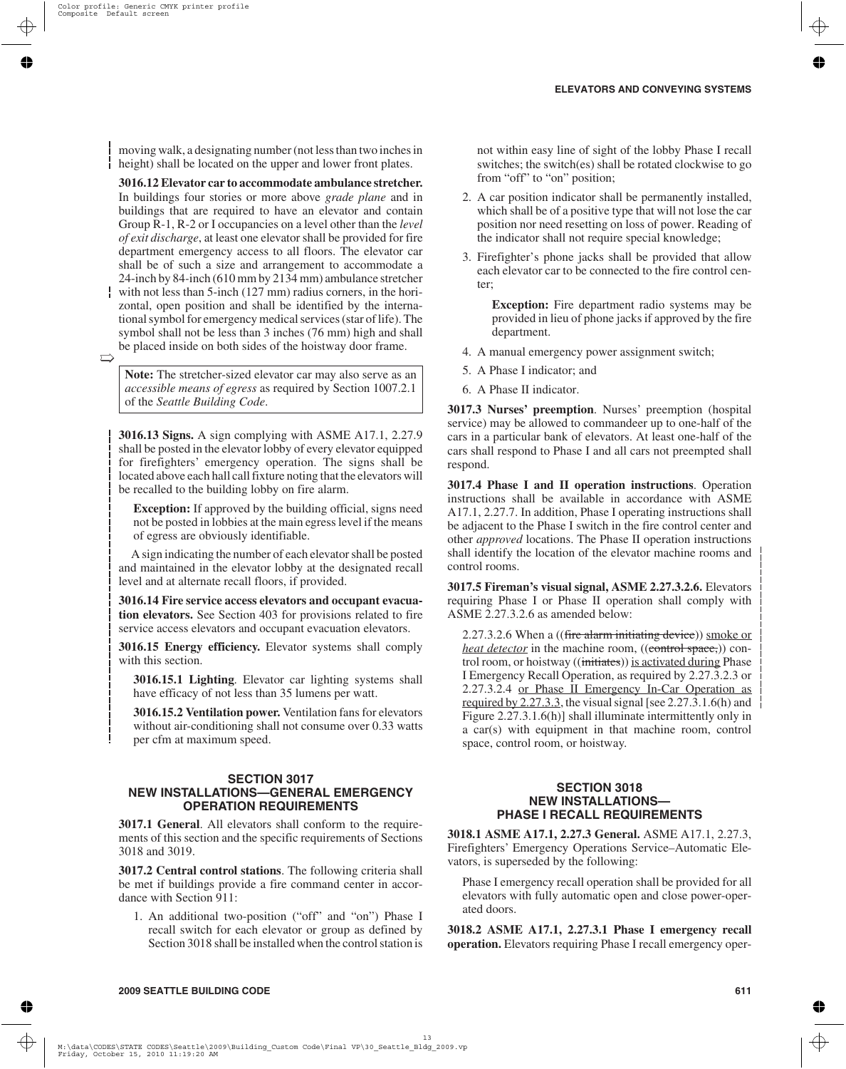moving walk, a designating number (not less than two inches in height) shall be located on the upper and lower front plates.

**3016.12 Elevator car to accommodate ambulance stretcher.** In buildings four stories or more above *grade plane* and in buildings that are required to have an elevator and contain Group R-1, R-2 or I occupancies on a level other than the *level of exit discharge*, at least one elevator shall be provided for fire department emergency access to all floors. The elevator car shall be of such a size and arrangement to accommodate a 24-inch by 84*-*inch (610 mm by 2134 mm) ambulance stretcher

with not less than 5-inch (127 mm) radius corners, in the horizontal, open position and shall be identified by the international symbol for emergency medical services (star of life). The symbol shall not be less than 3 inches (76 mm) high and shall be placed inside on both sides of the hoistway door frame.

 $\overrightarrow{a}$ 

**Note:** The stretcher-sized elevator car may also serve as an *accessible means of egress* as required by Section 1007.2.1 of the *Seattle Building Code*.

**3016.13 Signs.** A sign complying with ASME A17.1, 2.27.9 shall be posted in the elevator lobby of every elevator equipped for firefighters' emergency operation. The signs shall be located above each hall call fixture noting that the elevators will be recalled to the building lobby on fire alarm.

**Exception:** If approved by the building official, signs need not be posted in lobbies at the main egress level if the means of egress are obviously identifiable.

A sign indicating the number of each elevator shall be posted and maintained in the elevator lobby at the designated recall level and at alternate recall floors, if provided.

**3016.14 Fire service access elevators and occupant evacuation elevators.** See Section 403 for provisions related to fire service access elevators and occupant evacuation elevators.

**3016.15 Energy efficiency.** Elevator systems shall comply with this section.

**3016.15.1 Lighting**. Elevator car lighting systems shall have efficacy of not less than 35 lumens per watt.

**3016.15.2 Ventilation power.** Ventilation fans for elevators without air-conditioning shall not consume over 0.33 watts per cfm at maximum speed.

#### **SECTION 3017 NEW INSTALLATIONS—GENERAL EMERGENCY OPERATION REQUIREMENTS**

**3017.1 General**. All elevators shall conform to the requirements of this section and the specific requirements of Sections 3018 and 3019.

**3017.2 Central control stations**. The following criteria shall be met if buildings provide a fire command center in accordance with Section 911:

1. An additional two-position ("off" and "on") Phase I recall switch for each elevator or group as defined by Section 3018 shall be installed when the control station is not within easy line of sight of the lobby Phase I recall switches; the switch(es) shall be rotated clockwise to go from "off" to "on" position;

- 2. A car position indicator shall be permanently installed, which shall be of a positive type that will not lose the car position nor need resetting on loss of power. Reading of the indicator shall not require special knowledge;
- 3. Firefighter's phone jacks shall be provided that allow each elevator car to be connected to the fire control center;

**Exception:** Fire department radio systems may be provided in lieu of phone jacks if approved by the fire department.

- 4. A manual emergency power assignment switch;
- 5. A Phase I indicator; and
- 6. A Phase II indicator.

**3017.3 Nurses' preemption**. Nurses' preemption (hospital service) may be allowed to commandeer up to one-half of the cars in a particular bank of elevators. At least one-half of the cars shall respond to Phase I and all cars not preempted shall respond.

**3017.4 Phase I and II operation instructions**. Operation instructions shall be available in accordance with ASME A17.1, 2.27.7. In addition, Phase I operating instructions shall be adjacent to the Phase I switch in the fire control center and other *approved* locations. The Phase II operation instructions shall identify the location of the elevator machine rooms and control rooms.

**3017.5 Fireman's visual signal, ASME 2.27.3.2.6.** Elevators requiring Phase I or Phase II operation shall comply with ASME 2.27.3.2.6 as amended below:

2.27.3.2.6 When a ((fire alarm initiating device)) smoke or *heat detector* in the machine room, ((control space,)) control room, or hoistway ((initiates)) is activated during Phase I Emergency Recall Operation, as required by 2.27.3.2.3 or 2.27.3.2.4 or Phase II Emergency In-Car Operation as required by 2.27.3.3, the visual signal [see 2.27.3.1.6(h) and Figure 2.27.3.1.6(h)] shall illuminate intermittently only in a car(s) with equipment in that machine room, control space, control room, or hoistway.

#### **SECTION 3018 NEW INSTALLATIONS— PHASE I RECALL REQUIREMENTS**

**3018.1 ASME A17.1, 2.27.3 General.** ASME A17.1, 2.27.3, Firefighters' Emergency Operations Service–Automatic Elevators, is superseded by the following:

Phase I emergency recall operation shall be provided for all elevators with fully automatic open and close power-operated doors.

**3018.2 ASME A17.1, 2.27.3.1 Phase I emergency recall operation.** Elevators requiring Phase I recall emergency oper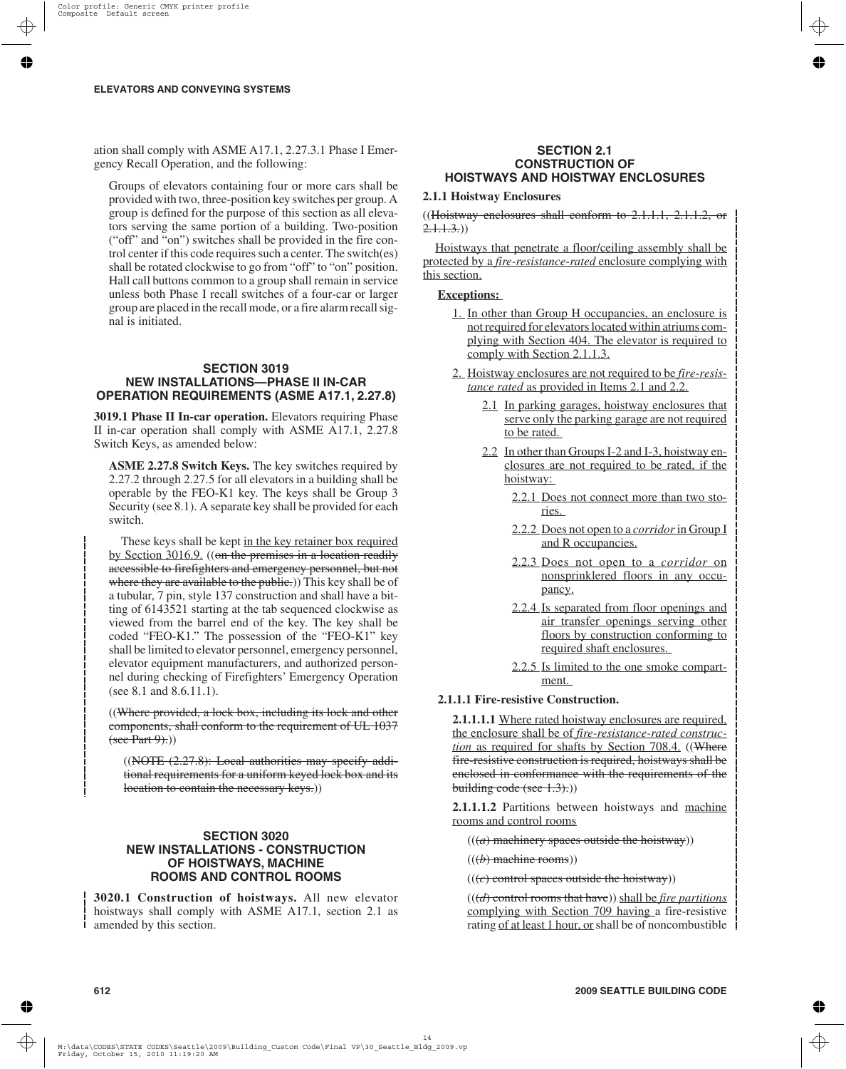ation shall comply with ASME A17.1, 2.27.3.1 Phase I Emergency Recall Operation, and the following:

Groups of elevators containing four or more cars shall be provided with two, three-position key switches per group. A group is defined for the purpose of this section as all elevators serving the same portion of a building. Two-position ("off" and "on") switches shall be provided in the fire control center if this code requires such a center. The switch(es) shall be rotated clockwise to go from "off" to "on" position. Hall call buttons common to a group shall remain in service unless both Phase I recall switches of a four-car or larger group are placed in the recall mode, or a fire alarm recall signal is initiated.

#### **SECTION 3019 NEW INSTALLATIONS—PHASE II IN-CAR OPERATION REQUIREMENTS (ASME A17.1, 2.27.8)**

**3019.1 Phase II In-car operation.** Elevators requiring Phase II in-car operation shall comply with ASME A17.1, 2.27.8 Switch Keys, as amended below:

**ASME 2.27.8 Switch Keys.** The key switches required by 2.27.2 through 2.27.5 for all elevators in a building shall be operable by the FEO-K1 key. The keys shall be Group 3 Security (see 8.1). A separate key shall be provided for each switch.

These keys shall be kept in the key retainer box required by Section 3016.9. ((on the premises in a location readily accessible to firefighters and emergency personnel, but not where they are available to the public.) This key shall be of a tubular, 7 pin, style 137 construction and shall have a bitting of 6143521 starting at the tab sequenced clockwise as viewed from the barrel end of the key. The key shall be coded "FEO-K1." The possession of the "FEO-K1" key shall be limited to elevator personnel, emergency personnel, elevator equipment manufacturers, and authorized personnel during checking of Firefighters' Emergency Operation (see 8.1 and 8.6.11.1).

((Where provided, a lock box, including its lock and other components, shall conform to the requirement of UL 1037  $(\text{see Part 9})$ .)

 $((\text{NOTE } (2.27.8))$ : Local authorities may specify additional requirements for a uniform keyed lock box and its location to contain the necessary keys.))

# **SECTION 3020 NEW INSTALLATIONS - CONSTRUCTION OF HOISTWAYS, MACHINE ROOMS AND CONTROL ROOMS**

**3020.1 Construction of hoistways.** All new elevator hoistways shall comply with ASME A17.1, section 2.1 as amended by this section.

#### **SECTION 2.1 CONSTRUCTION OF HOISTWAYS AND HOISTWAY ENCLOSURES**

### **2.1.1 Hoistway Enclosures**

((Hoistway enclosures shall conform to  $2.1.1.1$ ,  $2.1.1.2$ , or  $2.1.1.3.)$ 

Hoistways that penetrate a floor/ceiling assembly shall be protected by a *fire-resistance-rated* enclosure complying with this section.

### **Exceptions:**

- 1. In other than Group H occupancies, an enclosure is not required for elevators located within atriums complying with Section 404. The elevator is required to comply with Section 2.1.1.3.
- 2. Hoistway enclosures are not required to be *fire-resistance rated* as provided in Items 2.1 and 2.2.
	- 2.1 In parking garages, hoistway enclosures that serve only the parking garage are not required to be rated.
	- 2.2 In other than Groups I-2 and I-3, hoistway enclosures are not required to be rated, if the hoistway:
		- 2.2.1 Does not connect more than two stories.
		- 2.2.2 Does not open to a *corridor*in Group I and R occupancies.
		- 2.2.3 Does not open to a *corridor* on nonsprinklered floors in any occupancy.
		- 2.2.4 Is separated from floor openings and air transfer openings serving other floors by construction conforming to required shaft enclosures.
		- 2.2.5 Is limited to the one smoke compartment.

### **2.1.1.1 Fire-resistive Construction.**

**2.1.1.1.1** Where rated hoistway enclosures are required, the enclosure shall be of *fire-resistance-rated construction* as required for shafts by Section 708.4. ((Where fire-resistive construction is required, hoistways shall be enclosed in conformance with the requirements of the building code (see  $(3)$ .)

**2.1.1.1.2** Partitions between hoistways and machine rooms and control rooms

 $(((a)$  machinery spaces outside the hoistway))

 $((*(b)* machine rooms))$ 

 $(((e)$  control spaces outside the hoistway))

(((*d*) control rooms that have)) shall be *fire partitions* complying with Section 709 having a fire-resistive rating of at least 1 hour, orshall be of noncombustible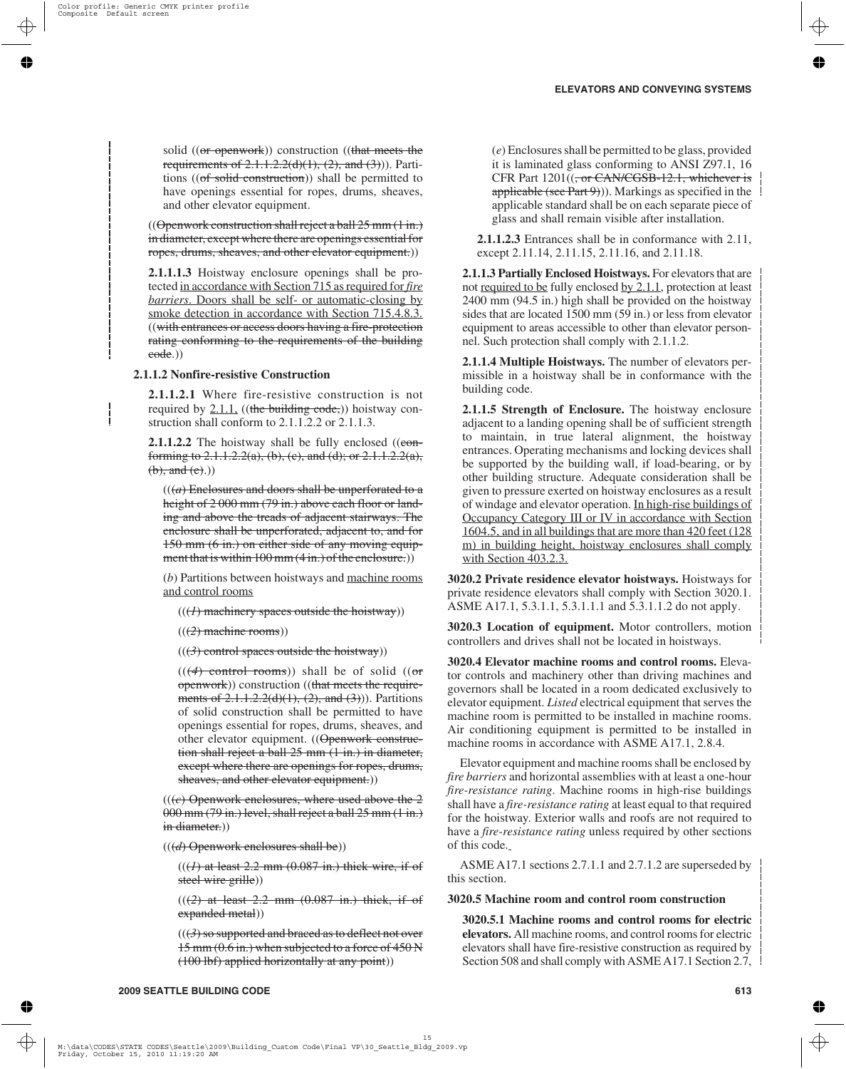solid ((or openwork)) construction ((that meets the requirements of  $2.1.1.2.2(d)(1)$ ,  $(2)$ , and  $(3)$ )). Partitions ((of solid construction)) shall be permitted to have openings essential for ropes, drums, sheaves, and other elevator equipment.

 $((\Theta$  penwork construction shall reject a ball  $25$  mm  $(1 \text{ in.})$ in diameter, except where there are openings essential for ropes, drums, sheaves, and other elevator equipment.)

**2.1.1.1.3** Hoistway enclosure openings shall be protected in accordance with Section 715 as required for *fire barriers*. Doors shall be self- or automatic-closing by smoke detection in accordance with Section 715.4.8.3. ((with entrances or access doors having a fire-protection rating conforming to the requirements of the building code.))

# **2.1.1.2 Nonfire-resistive Construction**

**2.1.1.2.1** Where fire-resistive construction is not required by  $2.1.1$ , ((the building code,)) hoistway construction shall conform to 2.1.1.2.2 or 2.1.1.3.

**2.1.1.2.2** The hoistway shall be fully enclosed ((conforming to 2.1.1.2.2(a), (b), (c), and (d); or 2.1.1.2.2(a),  $(b),$  and  $(e).$ )

 $((a)$  Enclosures and doors shall be unperforated to a height of 2 000 mm (79 in.) above each floor or landing and above the treads of adjacent stairways. The enclosure shall be unperforated, adjacent to, and for 150 mm (6 in.) on either side of any moving equipment that is within 100 mm (4 in.) of the enclosure.)

(*b*) Partitions between hoistways and machine rooms and control rooms

 $((1)$  machinery spaces outside the hoistway))

(((*2*) machine rooms))

 $(((3)$  control spaces outside the hoistway))

 $((4)$  control rooms)) shall be of solid  $((or$ openwork)) construction ((that meets the requirements of  $2.1.1.2.2(d)(1)$ ,  $(2)$ , and  $(3)$ )). Partitions of solid construction shall be permitted to have openings essential for ropes, drums, sheaves, and other elevator equipment. ((Openwork construction shall reject a ball 25 mm (1 in.) in diameter, except where there are openings for ropes, drums, sheaves, and other elevator equipment.))

 $((e)$  Openwork enclosures, where used above the  $2$ 000 mm (79 in.) level, shall reject a ball 25 mm (1 in.) in diameter.)

(((*d*) Openwork enclosures shall be))

 $((1)$  at least 2.2 mm  $(0.087$  in.) thick wire, if of steel wire grille))

 $(((2)$  at least 2.2 mm  $(0.087$  in.) thick, if of expanded metal))

 $(((3)$  so supported and braced as to deflect not over 15 mm (0.6 in.) when subjected to a force of 450 N (100 lbf) applied horizontally at any point))

(*e*) Enclosures shall be permitted to be glass, provided it is laminated glass conforming to ANSI Z97.1, 16 CFR Part 1201((<del>, or CAN/CGSB-12.1, whichever is</del> applicable (see Part 9)). Markings as specified in the  $\mathcal{L}$ applicable standard shall be on each separate piece of glass and shall remain visible after installation.

**2.1.1.2.3** Entrances shall be in conformance with 2.11, except 2.11.14, 2.11.15, 2.11.16, and 2.11.18.

**2.1.1.3 Partially Enclosed Hoistways.** For elevators that are not required to be fully enclosed by 2.1.1, protection at least 2400 mm (94.5 in.) high shall be provided on the hoistway sides that are located 1500 mm (59 in.) or less from elevator equipment to areas accessible to other than elevator personnel. Such protection shall comply with 2.1.1.2.

**2.1.1.4 Multiple Hoistways.** The number of elevators permissible in a hoistway shall be in conformance with the building code.

**2.1.1.5 Strength of Enclosure.** The hoistway enclosure adjacent to a landing opening shall be of sufficient strength to maintain, in true lateral alignment, the hoistway entrances. Operating mechanisms and locking devices shall be supported by the building wall, if load-bearing, or by other building structure. Adequate consideration shall be given to pressure exerted on hoistway enclosures as a result of windage and elevator operation. In high-rise buildings of Occupancy Category III or IV in accordance with Section 1604.5, and in all buildings that are more than 420 feet (128 m) in building height, hoistway enclosures shall comply with Section 403.2.3.

**3020.2 Private residence elevator hoistways.** Hoistways for private residence elevators shall comply with Section 3020.1. ASME A17.1, 5.3.1.1, 5.3.1.1.1 and 5.3.1.1.2 do not apply.

**3020.3 Location of equipment.** Motor controllers, motion controllers and drives shall not be located in hoistways.

**3020.4 Elevator machine rooms and control rooms.** Elevator controls and machinery other than driving machines and governors shall be located in a room dedicated exclusively to elevator equipment. *Listed* electrical equipment that serves the machine room is permitted to be installed in machine rooms. Air conditioning equipment is permitted to be installed in machine rooms in accordance with ASME A17.1, 2.8.4.

Elevator equipment and machine rooms shall be enclosed by *fire barriers* and horizontal assemblies with at least a one-hour *fire-resistance rating*. Machine rooms in high-rise buildings shall have a *fire-resistance rating* at least equal to that required for the hoistway. Exterior walls and roofs are not required to have a *fire-resistance rating* unless required by other sections of this code.

ASME A17.1 sections 2.7.1.1 and 2.7.1.2 are superseded by this section.

# **3020.5 Machine room and control room construction**

**3020.5.1 Machine rooms and control rooms for electric elevators.** All machine rooms, and control rooms for electric elevators shall have fire-resistive construction as required by Section 508 and shall comply with ASME A17.1 Section 2.7,  $\frac{1}{2}$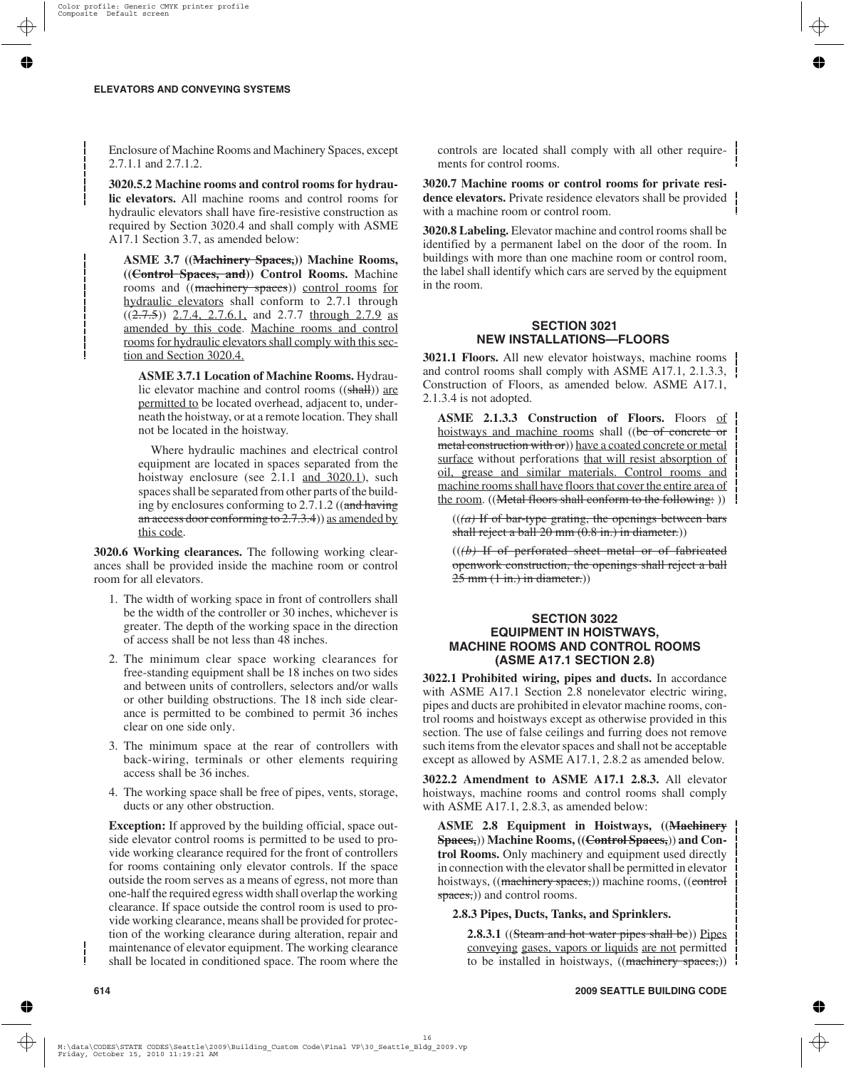Enclosure of Machine Rooms and Machinery Spaces, except 2.7.1.1 and 2.7.1.2.

**3020.5.2 Machine rooms and control rooms for hydraulic elevators.** All machine rooms and control rooms for hydraulic elevators shall have fire-resistive construction as required by Section 3020.4 and shall comply with ASME A17.1 Section 3.7, as amended below:

**ASME 3.7 ((Machinery Spaces,)) Machine Rooms, ((Control Spaces, and)) Control Rooms.** Machine rooms and ((machinery spaces)) control rooms for hydraulic elevators shall conform to 2.7.1 through  $((2.7.5))$  2.7.4, 2.7.6.1, and 2.7.7 through 2.7.9 as amended by this code. Machine rooms and control rooms for hydraulic elevators shall comply with this section and Section 3020.4.

**ASME 3.7.1 Location of Machine Rooms.** Hydraulic elevator machine and control rooms ((shall)) are permitted to be located overhead, adjacent to, underneath the hoistway, or at a remote location. They shall not be located in the hoistway.

Where hydraulic machines and electrical control equipment are located in spaces separated from the hoistway enclosure (see 2.1.1 and 3020.1), such spaces shall be separated from other parts of the building by enclosures conforming to 2.7.1.2 ((and having an access door conforming to  $2.7.3.4$ ) as amended by this code.

**3020.6 Working clearances.** The following working clearances shall be provided inside the machine room or control room for all elevators.

- 1. The width of working space in front of controllers shall be the width of the controller or 30 inches, whichever is greater. The depth of the working space in the direction of access shall be not less than 48 inches.
- 2. The minimum clear space working clearances for free-standing equipment shall be 18 inches on two sides and between units of controllers, selectors and/or walls or other building obstructions. The 18 inch side clearance is permitted to be combined to permit 36 inches clear on one side only.
- 3. The minimum space at the rear of controllers with back-wiring, terminals or other elements requiring access shall be 36 inches.
- 4. The working space shall be free of pipes, vents, storage, ducts or any other obstruction.

**Exception:** If approved by the building official, space outside elevator control rooms is permitted to be used to provide working clearance required for the front of controllers for rooms containing only elevator controls. If the space outside the room serves as a means of egress, not more than one-half the required egress width shall overlap the working clearance. If space outside the control room is used to provide working clearance, means shall be provided for protection of the working clearance during alteration, repair and maintenance of elevator equipment. The working clearance shall be located in conditioned space. The room where the controls are located shall comply with all other requirements for control rooms.

**3020.7 Machine rooms or control rooms for private residence elevators.** Private residence elevators shall be provided with a machine room or control room.

**3020.8 Labeling.** Elevator machine and control rooms shall be identified by a permanent label on the door of the room. In buildings with more than one machine room or control room, the label shall identify which cars are served by the equipment in the room.

# **SECTION 3021 NEW INSTALLATIONS—FLOORS**

**3021.1 Floors.** All new elevator hoistways, machine rooms and control rooms shall comply with ASME A17.1, 2.1.3.3, Construction of Floors, as amended below. ASME A17.1, 2.1.3.4 is not adopted.

**ASME 2.1.3.3 Construction of Floors.** Floors of hoistways and machine rooms shall ((be of concrete or metal construction with or)) have a coated concrete or metal surface without perforations that will resist absorption of oil, grease and similar materials. Control rooms and machine rooms shall have floors that cover the entire area of the room. ((Metal floors shall conform to the following: ))

 $((a)$  If of bar-type grating, the openings between bars shall reject a ball 20 mm (0.8 in.) in diameter.)

((*(b)* If of perforated sheet metal or of fabricated openwork construction, the openings shall reject a ball  $25$  mm  $(1 \text{ in.})$  in diameter.)

## **SECTION 3022 EQUIPMENT IN HOISTWAYS, MACHINE ROOMS AND CONTROL ROOMS (ASME A17.1 SECTION 2.8)**

**3022.1 Prohibited wiring, pipes and ducts.** In accordance with ASME A17.1 Section 2.8 nonelevator electric wiring, pipes and ducts are prohibited in elevator machine rooms, control rooms and hoistways except as otherwise provided in this section. The use of false ceilings and furring does not remove such items from the elevator spaces and shall not be acceptable except as allowed by ASME A17.1, 2.8.2 as amended below.

**3022.2 Amendment to ASME A17.1 2.8.3.** All elevator hoistways, machine rooms and control rooms shall comply with ASME A17.1, 2.8.3, as amended below:

**ASME 2.8 Equipment in Hoistways, ((Machinery Spaces,**)) **Machine Rooms, ((Control Spaces,**)) **and Control Rooms.** Only machinery and equipment used directly in connection with the elevator shall be permitted in elevator hoistways, ((machinery spaces,)) machine rooms, ((control spaces,)) and control rooms.

# **2.8.3 Pipes, Ducts, Tanks, and Sprinklers.**

**2.8.3.1** ((Steam and hot water pipes shall be)) Pipes conveying gases, vapors or liquids are not permitted to be installed in hoistways, ((machinery spaces,))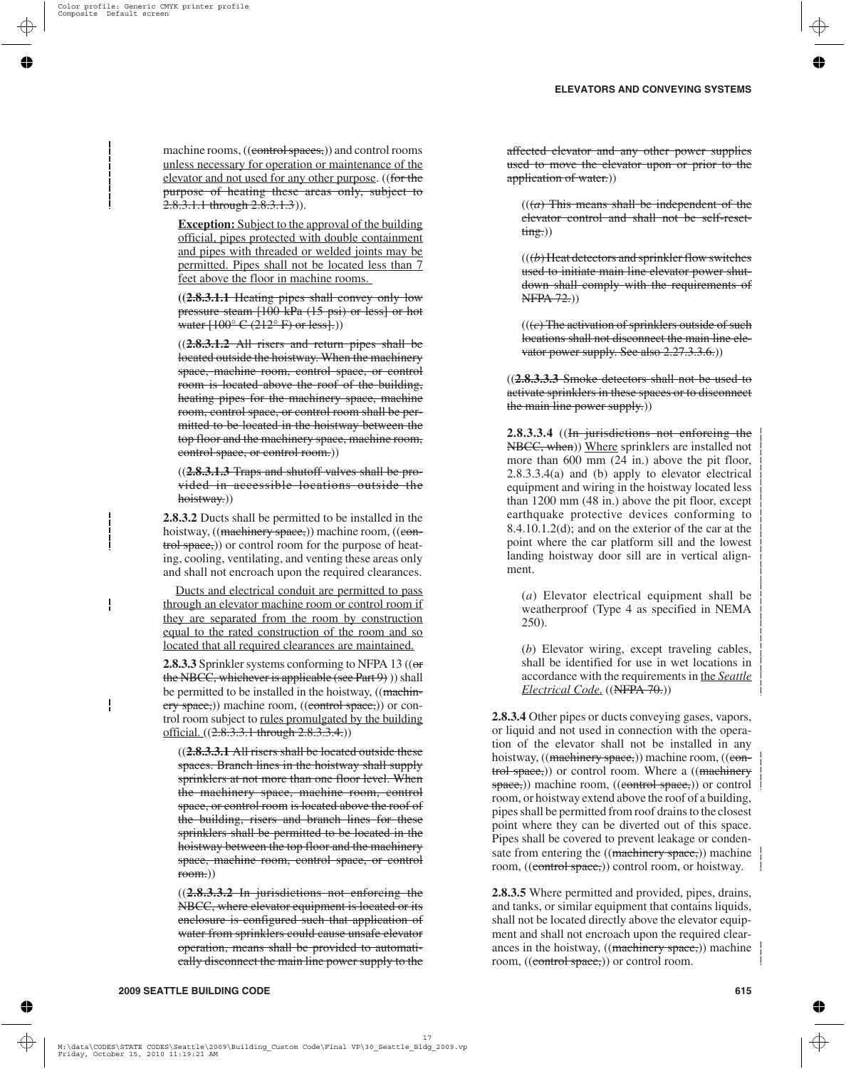machine rooms, ((control spaces,)) and control rooms unless necessary for operation or maintenance of the elevator and not used for any other purpose. ((for the purpose of heating these areas only, subject to 2.8.3.1.1 through 2.8.3.1.3)).

**Exception:** Subject to the approval of the building official, pipes protected with double containment and pipes with threaded or welded joints may be permitted. Pipes shall not be located less than 7 feet above the floor in machine rooms.

**((2.8.3.1.1** Heating pipes shall convey only low pressure steam [100 kPa (15 psi) or less] or hot water  $[100^{\circ}$  C  $(212^{\circ}$  F) or less.

((**2.8.3.1.2** All risers and return pipes shall be located outside the hoistway. When the machinery space, machine room, control space, or control room is located above the roof of the building, heating pipes for the machinery space, machine room, control space, or control room shall be permitted to be located in the hoistway between the top floor and the machinery space, machine room, control space, or control room.))

((**2.8.3.1.3** Traps and shutoff valves shall be provided in accessible locations outside the hoistway.))

**2.8.3.2** Ducts shall be permitted to be installed in the hoistway, ((machinery space,)) machine room, ((control space,)) or control room for the purpose of heating, cooling, ventilating, and venting these areas only and shall not encroach upon the required clearances.

Ducts and electrical conduit are permitted to pass through an elevator machine room or control room if they are separated from the room by construction equal to the rated construction of the room and so located that all required clearances are maintained.

**2.8.3.3** Sprinkler systems conforming to NFPA 13 ((or the NBCC, whichever is applicable (see Part 9)) shall be permitted to be installed in the hoistway, ((machinery space,)) machine room, ((control space,)) or control room subject to rules promulgated by the building official. ((2.8.3.3.1 through 2.8.3.3.4.))

((**2.8.3.3.1** All risers shall be located outside these spaces. Branch lines in the hoistway shall supply sprinklers at not more than one floor level. When the machinery space, machine room, control space, or control room is located above the roof of the building, risers and branch lines for these sprinklers shall be permitted to be located in the hoistway between the top floor and the machinery space, machine room, control space, or control room.))

((**2.8.3.3.2** In jurisdictions not enforcing the NBCC, where elevator equipment is located or its enclosure is configured such that application of water from sprinklers could cause unsafe elevator operation, means shall be provided to automatically disconnect the main line power supply to the

affected elevator and any other power supplies used to move the elevator upon or prior to the application of water.)

 $((a)$  This means shall be independent of the elevator control and shall not be self-reset $time.)$ 

 $((*b*)$  Heat detectors and sprinkler flow switches used to initiate main line elevator power shutdown shall comply with the requirements of NFPA 72.))

(((*c*) The activation of sprinklers outside of such locations shall not disconnect the main line elevator power supply. See also 2.27.3.3.6.)

((**2.8.3.3.3** Smoke detectors shall not be used to activate sprinklers in these spaces or to disconnect the main line power supply.)

**2.8.3.3.4** ((In jurisdictions not enforcing the NBCC, when)) Where sprinklers are installed not more than 600 mm (24 in.) above the pit floor, 2.8.3.3.4(a) and (b) apply to elevator electrical equipment and wiring in the hoistway located less than 1200 mm (48 in.) above the pit floor, except earthquake protective devices conforming to 8.4.10.1.2(d); and on the exterior of the car at the point where the car platform sill and the lowest landing hoistway door sill are in vertical alignment.

(*a*) Elevator electrical equipment shall be weatherproof (Type 4 as specified in NEMA 250).

(*b*) Elevator wiring, except traveling cables, shall be identified for use in wet locations in accordance with the requirements in the *Seattle Electrical Code*. ((NFPA 70.))

**2.8.3.4** Other pipes or ducts conveying gases, vapors, or liquid and not used in connection with the operation of the elevator shall not be installed in any hoistway, ((<del>machinery space,</del>)) machine room, ((control space,)) or control room. Where a ((machinery space,)) machine room, ((control space,)) or control room, or hoistway extend above the roof of a building, pipes shall be permitted from roof drains to the closest point where they can be diverted out of this space. Pipes shall be covered to prevent leakage or condensate from entering the ((machinery space,)) machine room, ((control space,)) control room, or hoistway.

**2.8.3.5** Where permitted and provided, pipes, drains, and tanks, or similar equipment that contains liquids, shall not be located directly above the elevator equipment and shall not encroach upon the required clearances in the hoistway, ((machinery space,)) machine room, ((control space,)) or control room.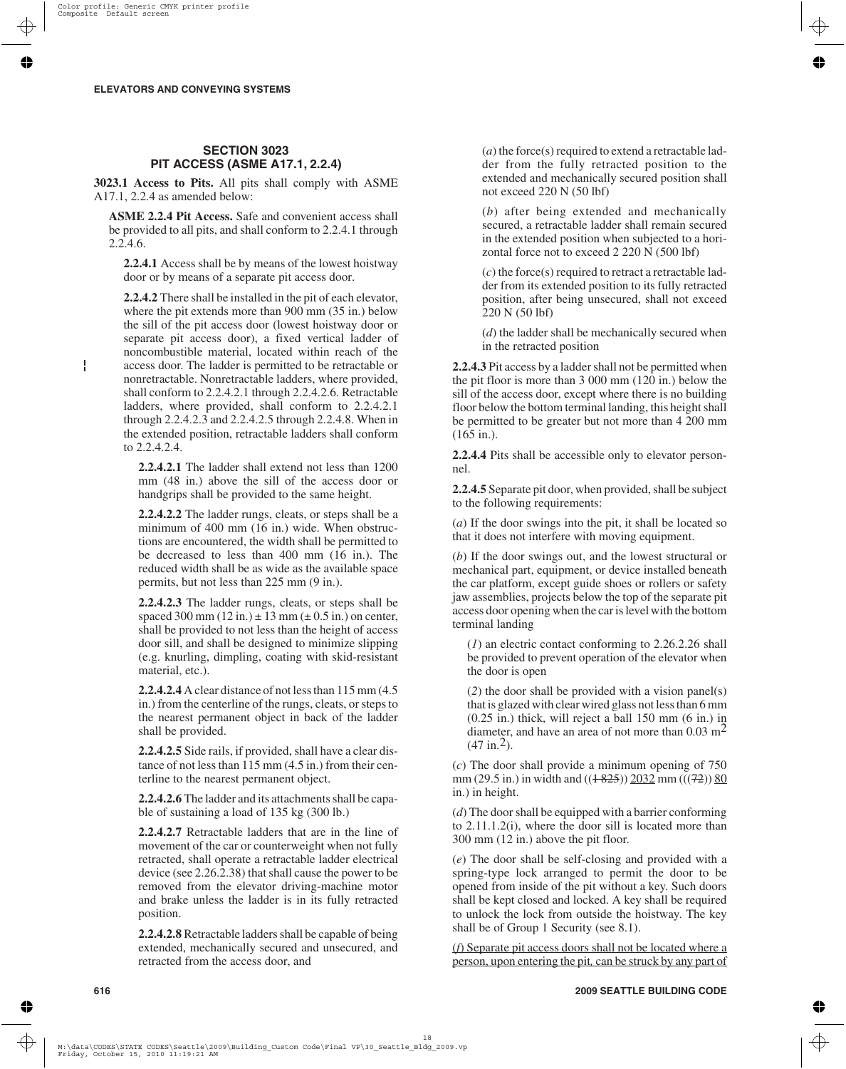# **SECTION 3023 PIT ACCESS (ASME A17.1, 2.2.4)**

**3023.1 Access to Pits.** All pits shall comply with ASME A17.1, 2.2.4 as amended below:

**ASME 2.2.4 Pit Access.** Safe and convenient access shall be provided to all pits, and shall conform to 2.2.4.1 through 2.2.4.6.

**2.2.4.1** Access shall be by means of the lowest hoistway door or by means of a separate pit access door.

**2.2.4.2** There shall be installed in the pit of each elevator, where the pit extends more than 900 mm (35 in.) below the sill of the pit access door (lowest hoistway door or separate pit access door), a fixed vertical ladder of noncombustible material, located within reach of the access door. The ladder is permitted to be retractable or nonretractable. Nonretractable ladders, where provided, shall conform to 2.2.4.2.1 through 2.2.4.2.6. Retractable ladders, where provided, shall conform to 2.2.4.2.1 through 2.2.4.2.3 and 2.2.4.2.5 through 2.2.4.8. When in the extended position, retractable ladders shall conform to 2.2.4.2.4.

**2.2.4.2.1** The ladder shall extend not less than 1200 mm (48 in.) above the sill of the access door or handgrips shall be provided to the same height.

**2.2.4.2.2** The ladder rungs, cleats, or steps shall be a minimum of 400 mm (16 in.) wide. When obstructions are encountered, the width shall be permitted to be decreased to less than 400 mm (16 in.). The reduced width shall be as wide as the available space permits, but not less than 225 mm (9 in.).

**2.2.4.2.3** The ladder rungs, cleats, or steps shall be spaced 300 mm  $(12 \text{ in.}) \pm 13 \text{ mm} (\pm 0.5 \text{ in.})$  on center, shall be provided to not less than the height of access door sill, and shall be designed to minimize slipping (e.g. knurling, dimpling, coating with skid-resistant material, etc.).

**2.2.4.2.4** A clear distance of not less than 115 mm (4.5 in.) from the centerline of the rungs, cleats, or steps to the nearest permanent object in back of the ladder shall be provided.

**2.2.4.2.5** Side rails, if provided, shall have a clear distance of not less than 115 mm (4.5 in.) from their centerline to the nearest permanent object.

**2.2.4.2.6** The ladder and its attachments shall be capable of sustaining a load of 135 kg (300 lb.)

**2.2.4.2.7** Retractable ladders that are in the line of movement of the car or counterweight when not fully retracted, shall operate a retractable ladder electrical device (see 2.26.2.38) that shall cause the power to be removed from the elevator driving-machine motor and brake unless the ladder is in its fully retracted position.

**2.2.4.2.8** Retractable ladders shall be capable of being extended, mechanically secured and unsecured, and retracted from the access door, and

(*a*) the force(s) required to extend a retractable ladder from the fully retracted position to the extended and mechanically secured position shall not exceed 220 N (50 lbf)

(*b*) after being extended and mechanically secured, a retractable ladder shall remain secured in the extended position when subjected to a horizontal force not to exceed 2 220 N (500 lbf)

(*c*) the force(s) required to retract a retractable ladder from its extended position to its fully retracted position, after being unsecured, shall not exceed 220 N (50 lbf)

(*d*) the ladder shall be mechanically secured when in the retracted position

**2.2.4.3** Pit access by a ladder shall not be permitted when the pit floor is more than 3 000 mm (120 in.) below the sill of the access door, except where there is no building floor below the bottom terminal landing, this height shall be permitted to be greater but not more than 4 200 mm  $(165 \text{ in.})$ .

**2.2.4.4** Pits shall be accessible only to elevator personnel.

**2.2.4.5** Separate pit door, when provided, shall be subject to the following requirements:

(*a*) If the door swings into the pit, it shall be located so that it does not interfere with moving equipment.

(*b*) If the door swings out, and the lowest structural or mechanical part, equipment, or device installed beneath the car platform, except guide shoes or rollers or safety jaw assemblies, projects below the top of the separate pit access door opening when the car is level with the bottom terminal landing

(*1*) an electric contact conforming to 2.26.2.26 shall be provided to prevent operation of the elevator when the door is open

(*2*) the door shall be provided with a vision panel(s) that is glazed with clear wired glass not less than 6 mm (0.25 in.) thick, will reject a ball 150 mm (6 in.) in diameter, and have an area of not more than  $0.03 \text{ m}^2$  $(47 \text{ in.}^2)$ .

(*c*) The door shall provide a minimum opening of 750 mm (29.5 in.) in width and  $((1-825))$  2032 mm (((72)) 80 in.) in height.

(*d*) The door shall be equipped with a barrier conforming to 2.11.1.2(i), where the door sill is located more than 300 mm (12 in.) above the pit floor.

(*e*) The door shall be self-closing and provided with a spring-type lock arranged to permit the door to be opened from inside of the pit without a key. Such doors shall be kept closed and locked. A key shall be required to unlock the lock from outside the hoistway. The key shall be of Group 1 Security (see 8.1).

(*f*) Separate pit access doors shall not be located where a person, upon entering the pit*,* can be struck by any part of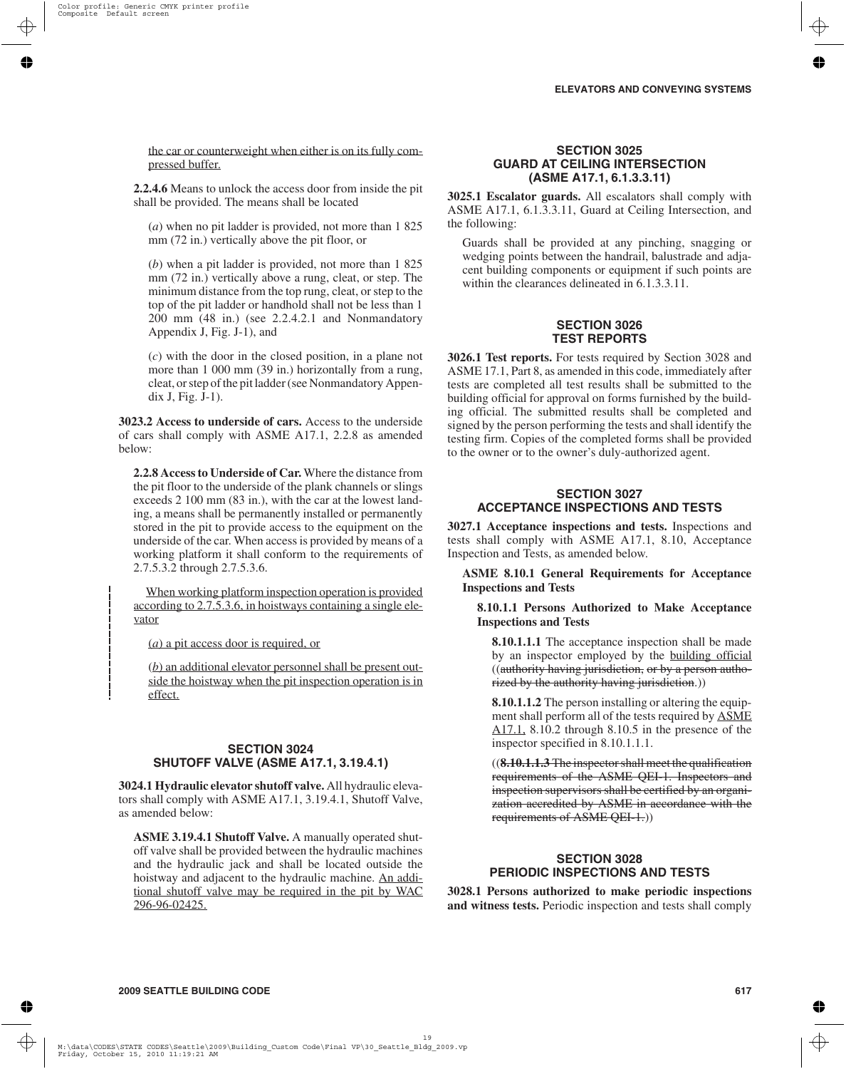the car or counterweight when either is on its fully compressed buffer.

**2.2.4.6** Means to unlock the access door from inside the pit shall be provided. The means shall be located

(*a*) when no pit ladder is provided, not more than 1 825 mm (72 in.) vertically above the pit floor, or

(*b*) when a pit ladder is provided, not more than 1 825 mm (72 in.) vertically above a rung, cleat, or step. The minimum distance from the top rung, cleat, or step to the top of the pit ladder or handhold shall not be less than 1 200 mm (48 in.) (see 2.2.4.2.1 and Nonmandatory Appendix J, Fig. J-1), and

(*c*) with the door in the closed position, in a plane not more than 1 000 mm (39 in.) horizontally from a rung, cleat, or step of the pit ladder (see Nonmandatory Appendix J, Fig. J-1).

**3023.2 Access to underside of cars.** Access to the underside of cars shall comply with ASME A17.1, 2.2.8 as amended below:

**2.2.8 Access to Underside of Car.** Where the distance from the pit floor to the underside of the plank channels or slings exceeds 2 100 mm (83 in.), with the car at the lowest landing, a means shall be permanently installed or permanently stored in the pit to provide access to the equipment on the underside of the car. When access is provided by means of a working platform it shall conform to the requirements of 2.7.5.3.2 through 2.7.5.3.6.

When working platform inspection operation is provided according to 2.7.5.3.6, in hoistways containing a single elevator

(*a*) a pit access door is required, or

(*b*) an additional elevator personnel shall be present outside the hoistway when the pit inspection operation is in effect.

# **SECTION 3024 SHUTOFF VALVE (ASME A17.1, 3.19.4.1)**

**3024.1 Hydraulic elevator shutoff valve.** All hydraulic elevators shall comply with ASME A17.1, 3.19.4.1, Shutoff Valve, as amended below:

**ASME 3.19.4.1 Shutoff Valve.** A manually operated shutoff valve shall be provided between the hydraulic machines and the hydraulic jack and shall be located outside the hoistway and adjacent to the hydraulic machine. An additional shutoff valve may be required in the pit by WAC 296-96-02425.

### **SECTION 3025 GUARD AT CEILING INTERSECTION (ASME A17.1, 6.1.3.3.11)**

**3025.1 Escalator guards.** All escalators shall comply with ASME A17.1, 6.1.3.3.11, Guard at Ceiling Intersection, and the following:

Guards shall be provided at any pinching, snagging or wedging points between the handrail, balustrade and adjacent building components or equipment if such points are within the clearances delineated in 6.1.3.3.11.

#### **SECTION 3026 TEST REPORTS**

**3026.1 Test reports.** For tests required by Section 3028 and ASME 17.1, Part 8, as amended in this code, immediately after tests are completed all test results shall be submitted to the building official for approval on forms furnished by the building official. The submitted results shall be completed and signed by the person performing the tests and shall identify the testing firm. Copies of the completed forms shall be provided to the owner or to the owner's duly-authorized agent.

## **SECTION 3027 ACCEPTANCE INSPECTIONS AND TESTS**

**3027.1 Acceptance inspections and tests.** Inspections and tests shall comply with ASME A17.1, 8.10, Acceptance Inspection and Tests, as amended below.

**ASME 8.10.1 General Requirements for Acceptance Inspections and Tests**

#### **8.10.1.1 Persons Authorized to Make Acceptance Inspections and Tests**

**8.10.1.1.1** The acceptance inspection shall be made by an inspector employed by the building official ((authority having jurisdiction, or by a person authorized by the authority having jurisdiction.))

**8.10.1.1.2** The person installing or altering the equipment shall perform all of the tests required by ASME A17.1, 8.10.2 through 8.10.5 in the presence of the inspector specified in 8.10.1.1.1.

((**8.10.1.1.3** The inspector shall meet the qualification requirements of the ASME QEI-1. Inspectors and inspection supervisors shall be certified by an organization accredited by ASME in accordance with the requirements of ASME QEI-1.))

# **SECTION 3028 PERIODIC INSPECTIONS AND TESTS**

**3028.1 Persons authorized to make periodic inspections and witness tests.** Periodic inspection and tests shall comply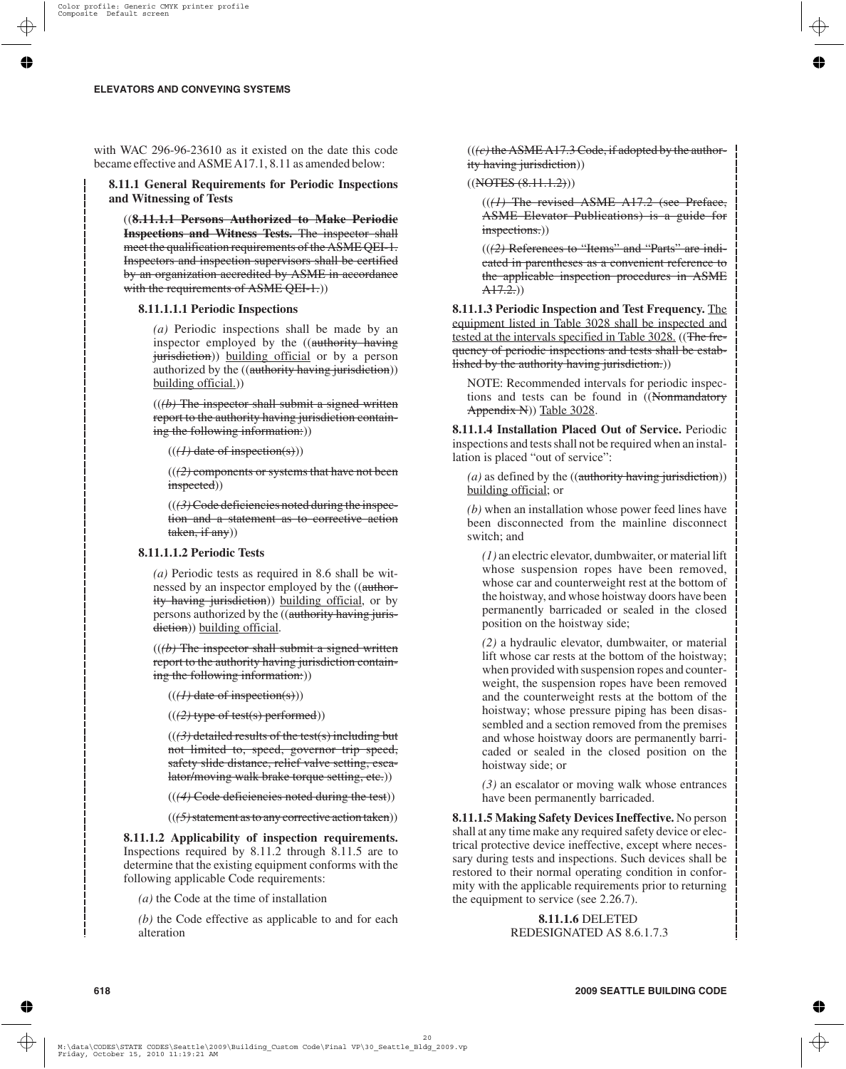with WAC 296-96-23610 as it existed on the date this code became effective and ASME A17.1, 8.11 as amended below:

**8.11.1 General Requirements for Periodic Inspections and Witnessing of Tests**

((**8.11.1.1 Persons Authorized to Make Periodic Inspections and Witness Tests.** The inspector shall meet the qualification requirements of the ASME QEI-1. Inspectors and inspection supervisors shall be certified by an organization accredited by ASME in accordance with the requirements of ASME QEI-1.)

#### **8.11.1.1.1 Periodic Inspections**

*(a)* Periodic inspections shall be made by an inspector employed by the ((authority having jurisdiction)) building official or by a person authorized by the ((authority having jurisdiction)) building official.))

((*(b)* The inspector shall submit a signed written report to the authority having jurisdiction containing the following information:))

 $((H)$  date of inspection(s))

((*(2)* components or systems that have not been inspected))

 $((3)$ Code deficiencies noted during the inspection and a statement as to corrective action taken, if any))

#### **8.11.1.1.2 Periodic Tests**

*(a)* Periodic tests as required in 8.6 shall be witnessed by an inspector employed by the ((authority having jurisdiction)) building official, or by persons authorized by the ((authority having jurisdiction)) building official.

 $((*(b)*)$  The inspector shall submit a signed written report to the authority having jurisdiction containing the following information:))

 $((H)$  date of inspection(s)))

((*(2)* type of test(s) performed))

 $((3)$  detailed results of the test(s) including but not limited to, speed, governor trip speed, safety slide distance, relief valve setting, escalator/moving walk brake torque setting, etc.))

((*(4)* Code deficiencies noted during the test))

((*(5)*statement as to any corrective action taken))

**8.11.1.2 Applicability of inspection requirements.** Inspections required by 8.11.2 through 8.11.5 are to determine that the existing equipment conforms with the following applicable Code requirements:

*(a)* the Code at the time of installation

*(b)* the Code effective as applicable to and for each alteration

 $((e)$  the ASME A17.3 Code, if adopted by the authority having jurisdiction))

 $((NOFES (8.11.1.2)))$ 

((*(1)* The revised ASME A17.2 (see Preface, ASME Elevator Publications) is a guide for inspections.)

((*(2)* References to "Items" and "Parts" are indicated in parentheses as a convenient reference to the applicable inspection procedures in ASME  $A17.2.)$ 

**8.11.1.3 Periodic Inspection and Test Frequency.** The equipment listed in Table 3028 shall be inspected and tested at the intervals specified in Table 3028. ((The frequency of periodic inspections and tests shall be established by the authority having jurisdiction.))

NOTE: Recommended intervals for periodic inspections and tests can be found in ((Nonmandatory Appendix N)) Table 3028.

**8.11.1.4 Installation Placed Out of Service.** Periodic inspections and tests shall not be required when an installation is placed "out of service":

 $(a)$  as defined by the  $((\text{authority having jurisdiction}))$ building official; or

*(b)* when an installation whose power feed lines have been disconnected from the mainline disconnect switch; and

*(1)* an electric elevator, dumbwaiter, or material lift whose suspension ropes have been removed, whose car and counterweight rest at the bottom of the hoistway, and whose hoistway doors have been permanently barricaded or sealed in the closed position on the hoistway side;

*(2)* a hydraulic elevator, dumbwaiter, or material lift whose car rests at the bottom of the hoistway; when provided with suspension ropes and counterweight, the suspension ropes have been removed and the counterweight rests at the bottom of the hoistway; whose pressure piping has been disassembled and a section removed from the premises and whose hoistway doors are permanently barricaded or sealed in the closed position on the hoistway side; or

*(3)* an escalator or moving walk whose entrances have been permanently barricaded.

**8.11.1.5 Making Safety Devices Ineffective.** No person shall at any time make any required safety device or electrical protective device ineffective, except where necessary during tests and inspections. Such devices shall be restored to their normal operating condition in conformity with the applicable requirements prior to returning the equipment to service (see 2.26.7).

> **8.11.1.6** DELETED REDESIGNATED AS 8.6.1.7.3